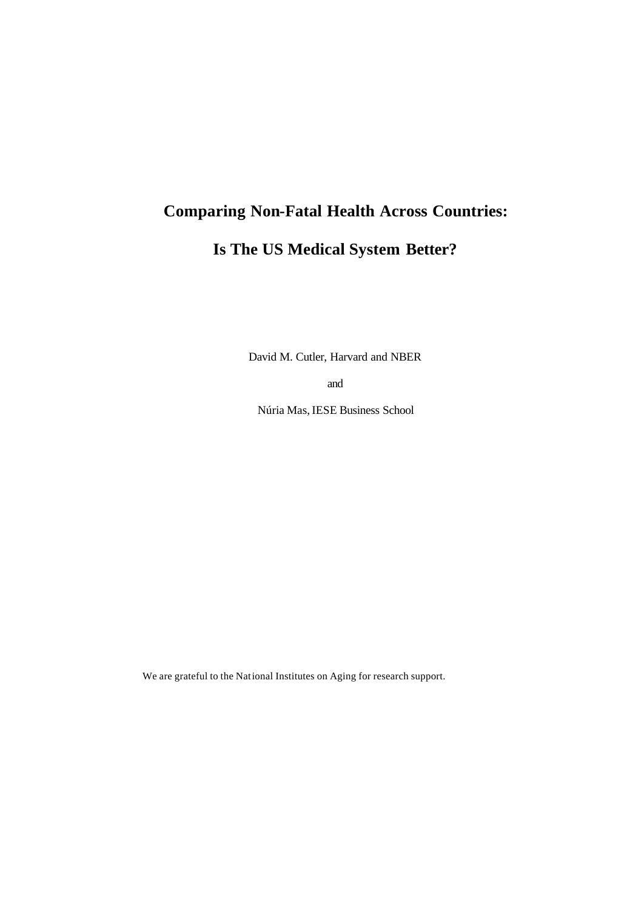# **Comparing Non-Fatal Health Across Countries:**

# **Is The US Medical System Better?**

David M. Cutler, Harvard and NBER

and

Núria Mas, IESE Business School

We are grateful to the National Institutes on Aging for research support.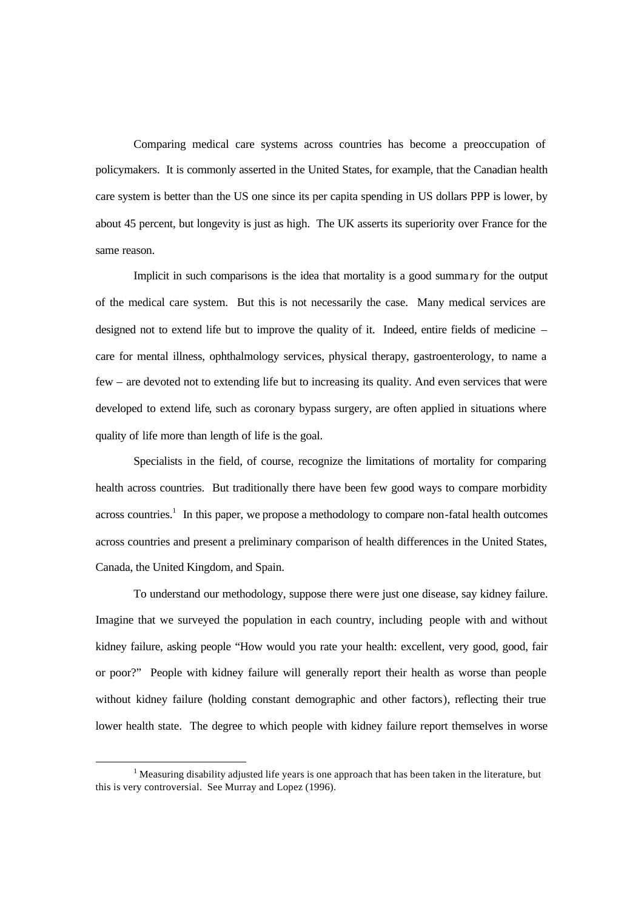Comparing medical care systems across countries has become a preoccupation of policymakers. It is commonly asserted in the United States, for example, that the Canadian health care system is better than the US one since its per capita spending in US dollars PPP is lower, by about 45 percent, but longevity is just as high. The UK asserts its superiority over France for the same reason.

Implicit in such comparisons is the idea that mortality is a good summa ry for the output of the medical care system. But this is not necessarily the case. Many medical services are designed not to extend life but to improve the quality of it. Indeed, entire fields of medicine – care for mental illness, ophthalmology services, physical therapy, gastroenterology, to name a few – are devoted not to extending life but to increasing its quality. And even services that were developed to extend life, such as coronary bypass surgery, are often applied in situations where quality of life more than length of life is the goal.

Specialists in the field, of course, recognize the limitations of mortality for comparing health across countries. But traditionally there have been few good ways to compare morbidity across countries.<sup>1</sup> In this paper, we propose a methodology to compare non-fatal health outcomes across countries and present a preliminary comparison of health differences in the United States, Canada, the United Kingdom, and Spain.

To understand our methodology, suppose there were just one disease, say kidney failure. Imagine that we surveyed the population in each country, including people with and without kidney failure, asking people "How would you rate your health: excellent, very good, good, fair or poor?" People with kidney failure will generally report their health as worse than people without kidney failure (holding constant demographic and other factors), reflecting their true lower health state. The degree to which people with kidney failure report themselves in worse

<sup>&</sup>lt;sup>1</sup> Measuring disability adjusted life years is one approach that has been taken in the literature, but this is very controversial. See Murray and Lopez (1996).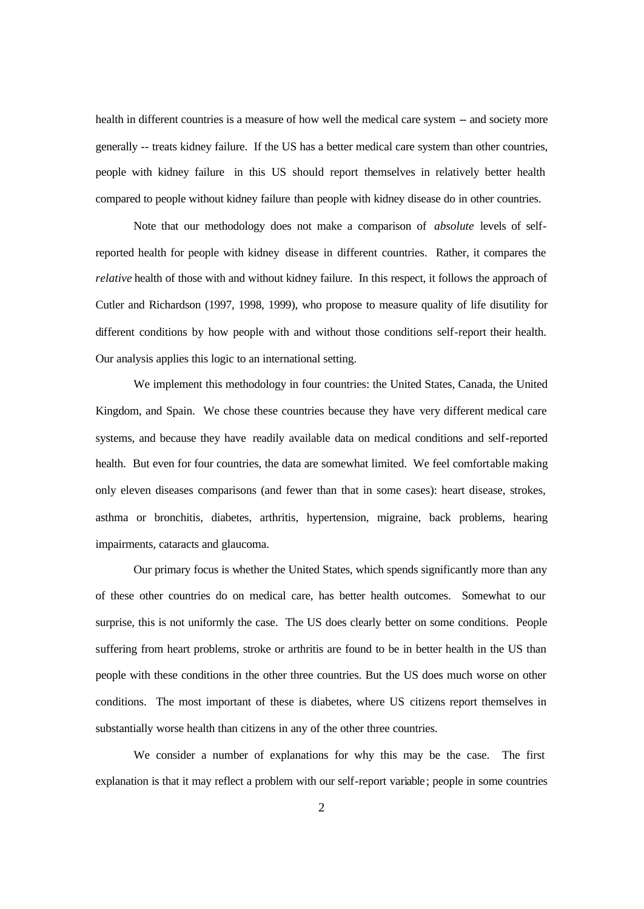health in different countries is a measure of how well the medical care system -- and society more generally -- treats kidney failure. If the US has a better medical care system than other countries, people with kidney failure in this US should report themselves in relatively better health compared to people without kidney failure than people with kidney disease do in other countries.

Note that our methodology does not make a comparison of *absolute* levels of selfreported health for people with kidney disease in different countries. Rather, it compares the *relative* health of those with and without kidney failure. In this respect, it follows the approach of Cutler and Richardson (1997, 1998, 1999), who propose to measure quality of life disutility for different conditions by how people with and without those conditions self-report their health. Our analysis applies this logic to an international setting.

We implement this methodology in four countries: the United States, Canada, the United Kingdom, and Spain. We chose these countries because they have very different medical care systems, and because they have readily available data on medical conditions and self-reported health. But even for four countries, the data are somewhat limited. We feel comfortable making only eleven diseases comparisons (and fewer than that in some cases): heart disease, strokes, asthma or bronchitis, diabetes, arthritis, hypertension, migraine, back problems, hearing impairments, cataracts and glaucoma.

Our primary focus is whether the United States, which spends significantly more than any of these other countries do on medical care, has better health outcomes. Somewhat to our surprise, this is not uniformly the case. The US does clearly better on some conditions. People suffering from heart problems, stroke or arthritis are found to be in better health in the US than people with these conditions in the other three countries. But the US does much worse on other conditions. The most important of these is diabetes, where US citizens report themselves in substantially worse health than citizens in any of the other three countries.

We consider a number of explanations for why this may be the case. The first explanation is that it may reflect a problem with our self-report variable; people in some countries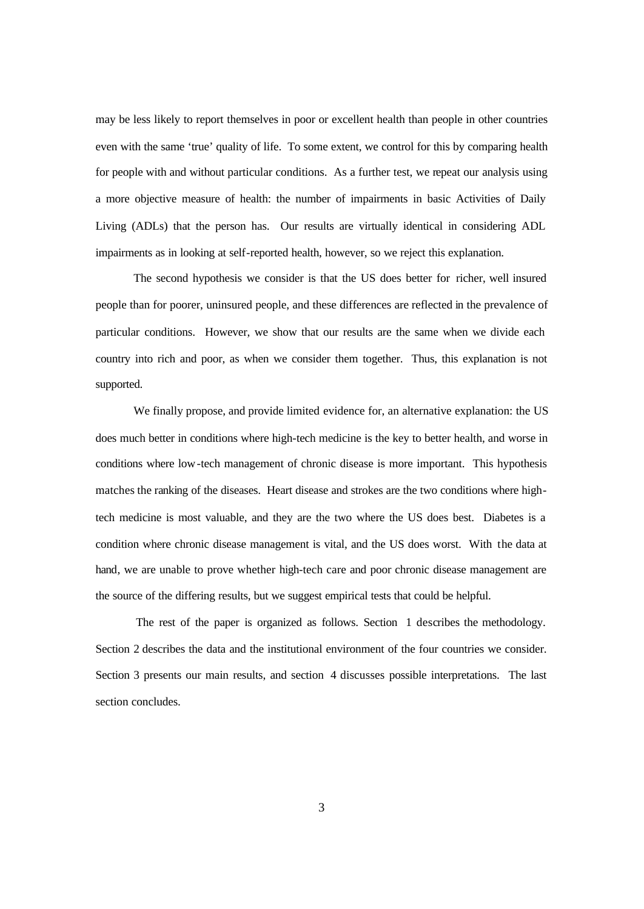may be less likely to report themselves in poor or excellent health than people in other countries even with the same 'true' quality of life. To some extent, we control for this by comparing health for people with and without particular conditions. As a further test, we repeat our analysis using a more objective measure of health: the number of impairments in basic Activities of Daily Living (ADLs) that the person has. Our results are virtually identical in considering ADL impairments as in looking at self-reported health, however, so we reject this explanation.

The second hypothesis we consider is that the US does better for richer, well insured people than for poorer, uninsured people, and these differences are reflected in the prevalence of particular conditions. However, we show that our results are the same when we divide each country into rich and poor, as when we consider them together. Thus, this explanation is not supported.

We finally propose, and provide limited evidence for, an alternative explanation: the US does much better in conditions where high-tech medicine is the key to better health, and worse in conditions where low-tech management of chronic disease is more important. This hypothesis matches the ranking of the diseases. Heart disease and strokes are the two conditions where hightech medicine is most valuable, and they are the two where the US does best. Diabetes is a condition where chronic disease management is vital, and the US does worst. With the data at hand, we are unable to prove whether high-tech care and poor chronic disease management are the source of the differing results, but we suggest empirical tests that could be helpful.

The rest of the paper is organized as follows. Section 1 describes the methodology. Section 2 describes the data and the institutional environment of the four countries we consider. Section 3 presents our main results, and section 4 discusses possible interpretations. The last section concludes.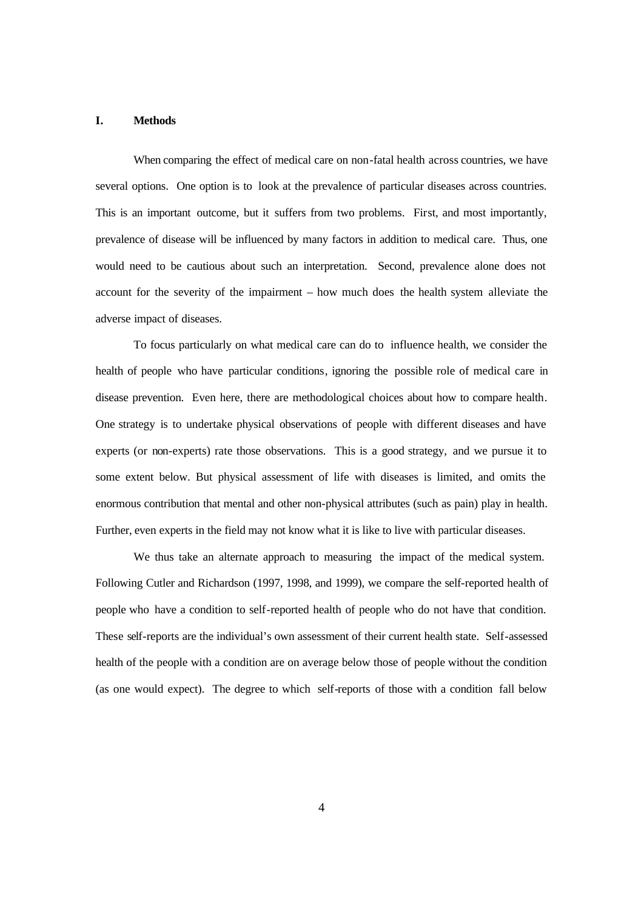#### **I. Methods**

When comparing the effect of medical care on non-fatal health across countries, we have several options. One option is to look at the prevalence of particular diseases across countries. This is an important outcome, but it suffers from two problems. First, and most importantly, prevalence of disease will be influenced by many factors in addition to medical care. Thus, one would need to be cautious about such an interpretation. Second, prevalence alone does not account for the severity of the impairment – how much does the health system alleviate the adverse impact of diseases.

To focus particularly on what medical care can do to influence health, we consider the health of people who have particular conditions, ignoring the possible role of medical care in disease prevention. Even here, there are methodological choices about how to compare health. One strategy is to undertake physical observations of people with different diseases and have experts (or non-experts) rate those observations. This is a good strategy, and we pursue it to some extent below. But physical assessment of life with diseases is limited, and omits the enormous contribution that mental and other non-physical attributes (such as pain) play in health. Further, even experts in the field may not know what it is like to live with particular diseases.

We thus take an alternate approach to measuring the impact of the medical system. Following Cutler and Richardson (1997, 1998, and 1999), we compare the self-reported health of people who have a condition to self-reported health of people who do not have that condition. These self-reports are the individual's own assessment of their current health state. Self-assessed health of the people with a condition are on average below those of people without the condition (as one would expect). The degree to which self-reports of those with a condition fall below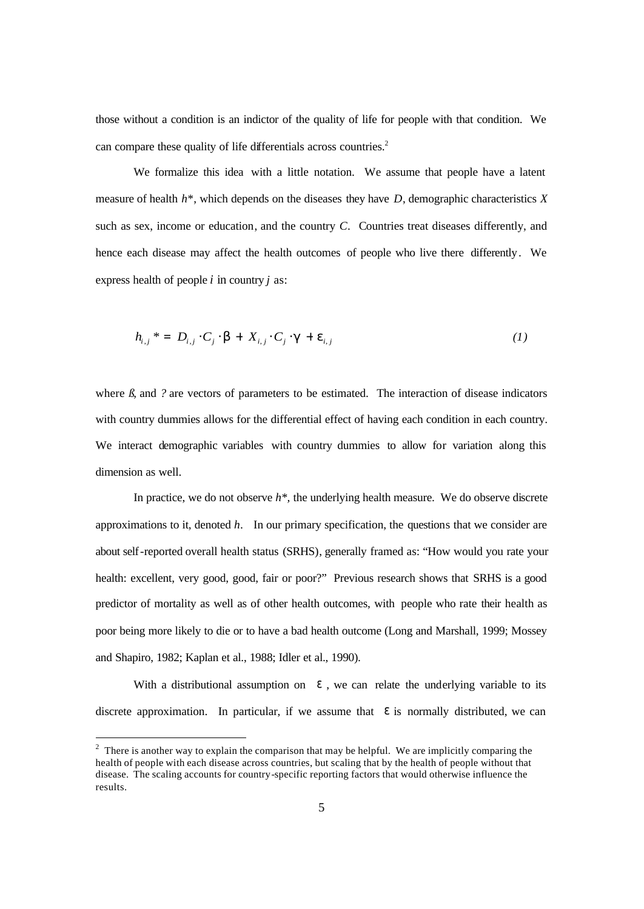those without a condition is an indictor of the quality of life for people with that condition. We can compare these quality of life differentials across countries.<sup>2</sup>

We formalize this idea with a little notation. We assume that people have a latent measure of health *h\**, which depends on the diseases they have *D*, demographic characteristics *X*  such as sex, income or education, and the country *C*. Countries treat diseases differently, and hence each disease may affect the health outcomes of people who live there differently. We express health of people *i* in country *j* as:

$$
h_{i,j}^* = D_{i,j} \cdot C_j \cdot \mathbf{b} + X_{i,j} \cdot C_j \cdot \mathbf{g} + \mathbf{e}_{i,j} \tag{1}
$$

where  $\beta$ , and  $\beta$  are vectors of parameters to be estimated. The interaction of disease indicators with country dummies allows for the differential effect of having each condition in each country. We interact demographic variables with country dummies to allow for variation along this dimension as well.

In practice, we do not observe *h\*,* the underlying health measure. We do observe discrete approximations to it, denoted *h.* In our primary specification, the questions that we consider are about self-reported overall health status (SRHS), generally framed as: "How would you rate your health: excellent, very good, good, fair or poor?" Previous research shows that SRHS is a good predictor of mortality as well as of other health outcomes, with people who rate their health as poor being more likely to die or to have a bad health outcome (Long and Marshall, 1999; Mossey and Shapiro, 1982; Kaplan et al., 1988; Idler et al., 1990).

With a distributional assumption on  $e$ , we can relate the underlying variable to its discrete approximation. In particular, if we assume that *e* is normally distributed, we can

 $2$  There is another way to explain the comparison that may be helpful. We are implicitly comparing the health of people with each disease across countries, but scaling that by the health of people without that disease. The scaling accounts for country-specific reporting factors that would otherwise influence the results.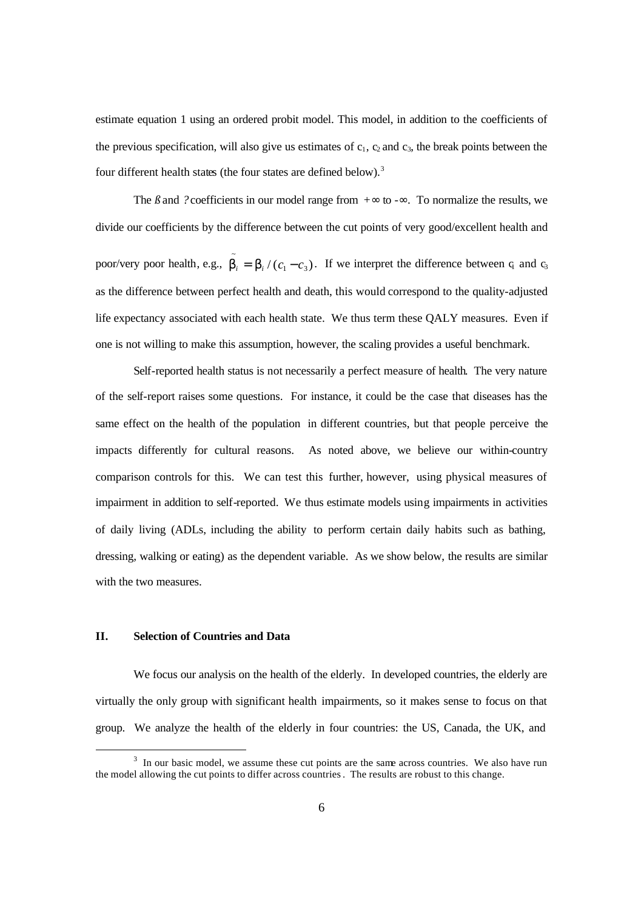estimate equation 1 using an ordered probit model. This model, in addition to the coefficients of the previous specification, will also give us estimates of  $c_1$ ,  $c_2$  and  $c_3$ , the break points between the four different health states (the four states are defined below).<sup>3</sup>

The  $\beta$  and *?* coefficients in our model range from  $+$ *¥* to  $-$ *¥*. To normalize the results, we divide our coefficients by the difference between the cut points of very good/excellent health and poor/very poor health, e.g.,  $\tilde{b}_i = \tilde{b}_i / (c_1 - c_3)$ . If we interpret the difference between q and  $c_3$ as the difference between perfect health and death, this would correspond to the quality-adjusted life expectancy associated with each health state. We thus term these QALY measures. Even if one is not willing to make this assumption, however, the scaling provides a useful benchmark.

Self-reported health status is not necessarily a perfect measure of health. The very nature of the self-report raises some questions. For instance, it could be the case that diseases has the same effect on the health of the population in different countries, but that people perceive the impacts differently for cultural reasons. As noted above, we believe our within-country comparison controls for this. We can test this further, however, using physical measures of impairment in addition to self-reported. We thus estimate models using impairments in activities of daily living (ADLs, including the ability to perform certain daily habits such as bathing, dressing, walking or eating) as the dependent variable. As we show below, the results are similar with the two measures.

# **II. Selection of Countries and Data**

We focus our analysis on the health of the elderly. In developed countries, the elderly are virtually the only group with significant health impairments, so it makes sense to focus on that group. We analyze the health of the elderly in four countries: the US, Canada, the UK, and

 $3\,$  In our basic model, we assume these cut points are the same across countries. We also have run the model allowing the cut points to differ across countries. The results are robust to this change.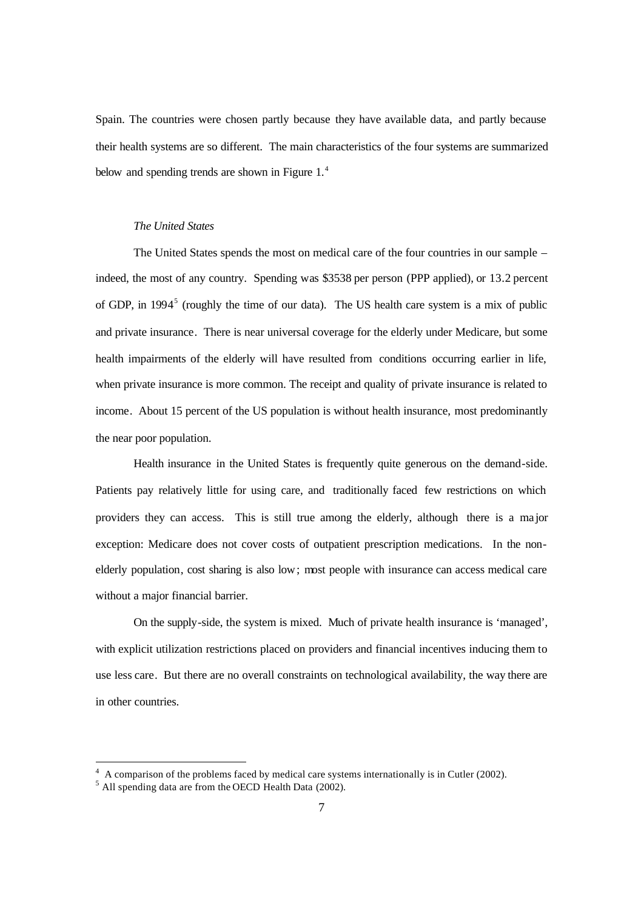Spain. The countries were chosen partly because they have available data, and partly because their health systems are so different. The main characteristics of the four systems are summarized below and spending trends are shown in Figure 1.<sup>4</sup>

#### *The United States*

The United States spends the most on medical care of the four countries in our sample – indeed, the most of any country. Spending was \$3538 per person (PPP applied), or 13.2 percent of GDP, in 1994<sup>5</sup> (roughly the time of our data). The US health care system is a mix of public and private insurance. There is near universal coverage for the elderly under Medicare, but some health impairments of the elderly will have resulted from conditions occurring earlier in life, when private insurance is more common. The receipt and quality of private insurance is related to income. About 15 percent of the US population is without health insurance, most predominantly the near poor population.

Health insurance in the United States is frequently quite generous on the demand-side. Patients pay relatively little for using care, and traditionally faced few restrictions on which providers they can access. This is still true among the elderly, although there is a ma jor exception: Medicare does not cover costs of outpatient prescription medications. In the nonelderly population, cost sharing is also low; most people with insurance can access medical care without a major financial barrier.

On the supply-side, the system is mixed. Much of private health insurance is 'managed', with explicit utilization restrictions placed on providers and financial incentives inducing them to use less care. But there are no overall constraints on technological availability, the way there are in other countries.

 $4\,$  A comparison of the problems faced by medical care systems internationally is in Cutler (2002).

<sup>&</sup>lt;sup>5</sup> All spending data are from the OECD Health Data (2002).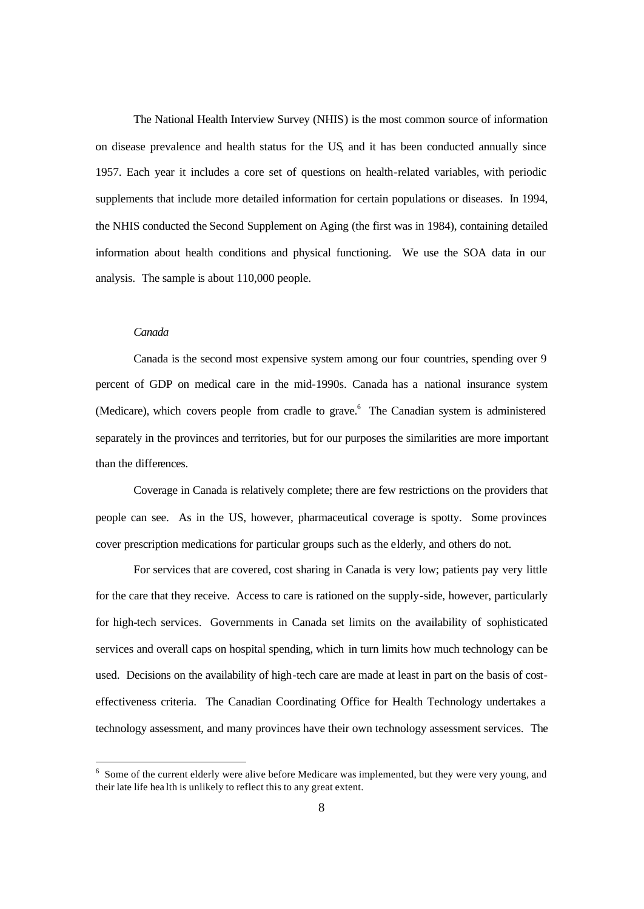The National Health Interview Survey (NHIS) is the most common source of information on disease prevalence and health status for the US, and it has been conducted annually since 1957. Each year it includes a core set of questions on health-related variables, with periodic supplements that include more detailed information for certain populations or diseases. In 1994, the NHIS conducted the Second Supplement on Aging (the first was in 1984), containing detailed information about health conditions and physical functioning. We use the SOA data in our analysis. The sample is about 110,000 people.

#### *Canada*

Canada is the second most expensive system among our four countries, spending over 9 percent of GDP on medical care in the mid-1990s. Canada has a national insurance system (Medicare), which covers people from cradle to grave.<sup>6</sup> The Canadian system is administered separately in the provinces and territories, but for our purposes the similarities are more important than the differences.

Coverage in Canada is relatively complete; there are few restrictions on the providers that people can see. As in the US, however, pharmaceutical coverage is spotty. Some provinces cover prescription medications for particular groups such as the elderly, and others do not.

For services that are covered, cost sharing in Canada is very low; patients pay very little for the care that they receive. Access to care is rationed on the supply-side, however, particularly for high-tech services. Governments in Canada set limits on the availability of sophisticated services and overall caps on hospital spending, which in turn limits how much technology can be used. Decisions on the availability of high-tech care are made at least in part on the basis of costeffectiveness criteria. The Canadian Coordinating Office for Health Technology undertakes a technology assessment, and many provinces have their own technology assessment services. The

<sup>&</sup>lt;sup>6</sup> Some of the current elderly were alive before Medicare was implemented, but they were very young, and their late life hea lth is unlikely to reflect this to any great extent.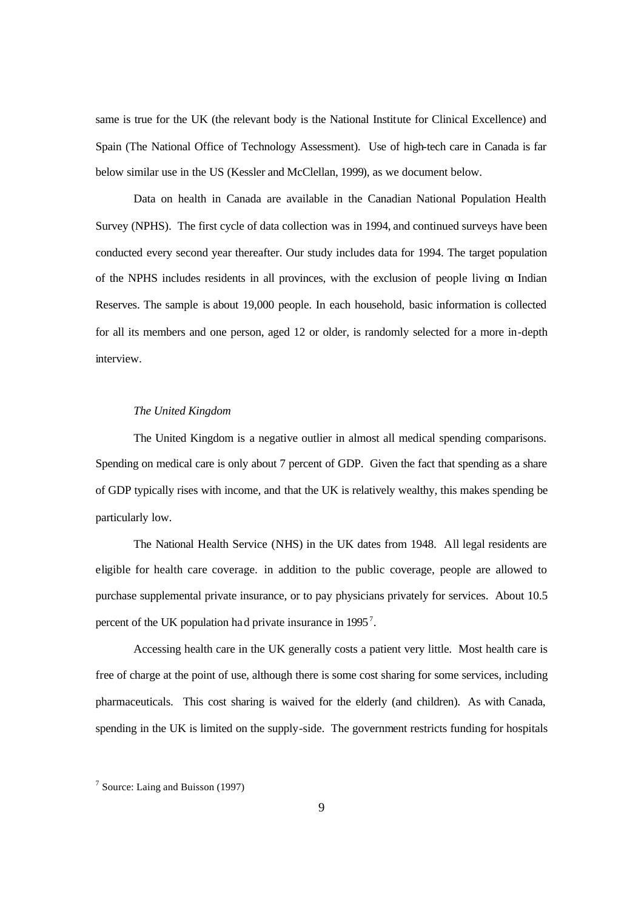same is true for the UK (the relevant body is the National Institute for Clinical Excellence) and Spain (The National Office of Technology Assessment). Use of high-tech care in Canada is far below similar use in the US (Kessler and McClellan, 1999), as we document below.

Data on health in Canada are available in the Canadian National Population Health Survey (NPHS). The first cycle of data collection was in 1994, and continued surveys have been conducted every second year thereafter. Our study includes data for 1994. The target population of the NPHS includes residents in all provinces, with the exclusion of people living on Indian Reserves. The sample is about 19,000 people. In each household, basic information is collected for all its members and one person, aged 12 or older, is randomly selected for a more in-depth interview.

#### *The United Kingdom*

The United Kingdom is a negative outlier in almost all medical spending comparisons. Spending on medical care is only about 7 percent of GDP. Given the fact that spending as a share of GDP typically rises with income, and that the UK is relatively wealthy, this makes spending be particularly low.

The National Health Service (NHS) in the UK dates from 1948. All legal residents are eligible for health care coverage. in addition to the public coverage, people are allowed to purchase supplemental private insurance, or to pay physicians privately for services. About 10.5 percent of the UK population had private insurance in 1995<sup>7</sup>.

Accessing health care in the UK generally costs a patient very little. Most health care is free of charge at the point of use, although there is some cost sharing for some services, including pharmaceuticals. This cost sharing is waived for the elderly (and children). As with Canada, spending in the UK is limited on the supply-side. The government restricts funding for hospitals

<sup>&</sup>lt;sup>7</sup> Source: Laing and Buisson (1997)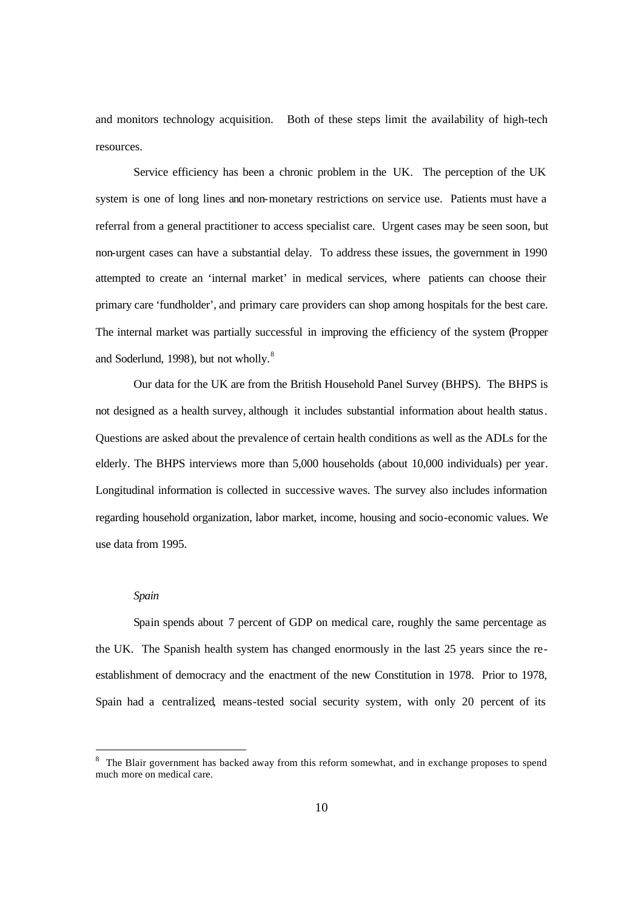and monitors technology acquisition. Both of these steps limit the availability of high-tech resources.

Service efficiency has been a chronic problem in the UK. The perception of the UK system is one of long lines and non-monetary restrictions on service use. Patients must have a referral from a general practitioner to access specialist care. Urgent cases may be seen soon, but non-urgent cases can have a substantial delay. To address these issues, the government in 1990 attempted to create an 'internal market' in medical services, where patients can choose their primary care 'fundholder', and primary care providers can shop among hospitals for the best care. The internal market was partially successful in improving the efficiency of the system (Propper and Soderlund, 1998), but not wholly.<sup>8</sup>

Our data for the UK are from the British Household Panel Survey (BHPS). The BHPS is not designed as a health survey, although it includes substantial information about health status. Questions are asked about the prevalence of certain health conditions as well as the ADLs for the elderly. The BHPS interviews more than 5,000 households (about 10,000 individuals) per year. Longitudinal information is collected in successive waves. The survey also includes information regarding household organization, labor market, income, housing and socio-economic values. We use data from 1995.

#### *Spain*

Spain spends about 7 percent of GDP on medical care, roughly the same percentage as the UK. The Spanish health system has changed enormously in the last 25 years since the reestablishment of democracy and the enactment of the new Constitution in 1978. Prior to 1978, Spain had a centralized, means-tested social security system, with only 20 percent of its

<sup>&</sup>lt;sup>8</sup> The Blair government has backed away from this reform somewhat, and in exchange proposes to spend much more on medical care.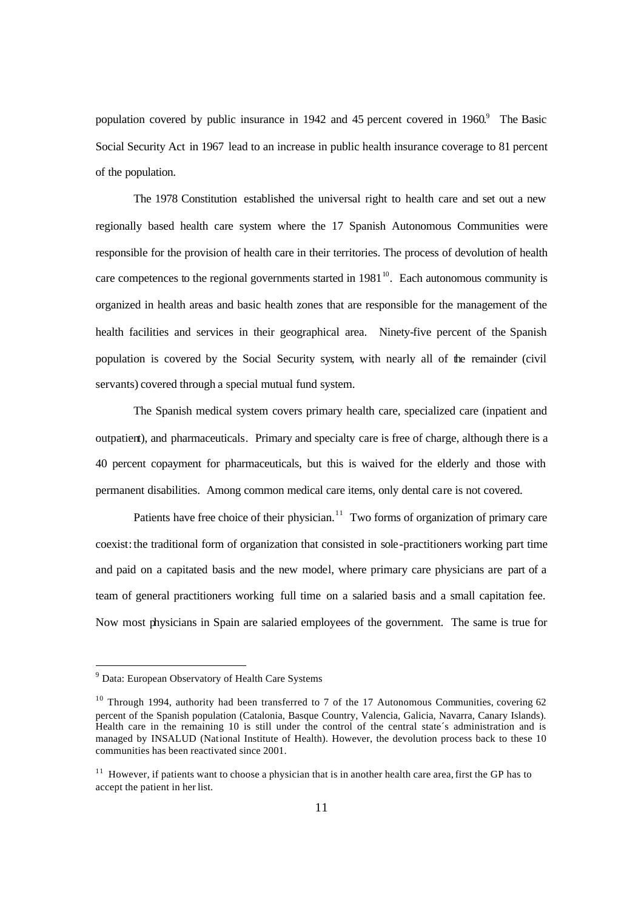population covered by public insurance in 1942 and 45 percent covered in 1960.<sup>9</sup> The Basic Social Security Act in 1967 lead to an increase in public health insurance coverage to 81 percent of the population.

The 1978 Constitution established the universal right to health care and set out a new regionally based health care system where the 17 Spanish Autonomous Communities were responsible for the provision of health care in their territories. The process of devolution of health care competences to the regional governments started in  $1981<sup>10</sup>$ . Each autonomous community is organized in health areas and basic health zones that are responsible for the management of the health facilities and services in their geographical area. Ninety-five percent of the Spanish population is covered by the Social Security system, with nearly all of the remainder (civil servants) covered through a special mutual fund system.

The Spanish medical system covers primary health care, specialized care (inpatient and outpatient), and pharmaceuticals. Primary and specialty care is free of charge, although there is a 40 percent copayment for pharmaceuticals, but this is waived for the elderly and those with permanent disabilities. Among common medical care items, only dental care is not covered.

Patients have free choice of their physician.<sup>11</sup> Two forms of organization of primary care coexist: the traditional form of organization that consisted in sole-practitioners working part time and paid on a capitated basis and the new model, where primary care physicians are part of a team of general practitioners working full time on a salaried basis and a small capitation fee. Now most physicians in Spain are salaried employees of the government. The same is true for

<sup>9</sup> Data: European Observatory of Health Care Systems

 $10$  Through 1994, authority had been transferred to 7 of the 17 Autonomous Communities, covering 62 percent of the Spanish population (Catalonia, Basque Country, Valencia, Galicia, Navarra, Canary Islands). Health care in the remaining 10 is still under the control of the central state´s administration and is managed by INSALUD (National Institute of Health). However, the devolution process back to these 10 communities has been reactivated since 2001.

 $11$  However, if patients want to choose a physician that is in another health care area, first the GP has to accept the patient in her list.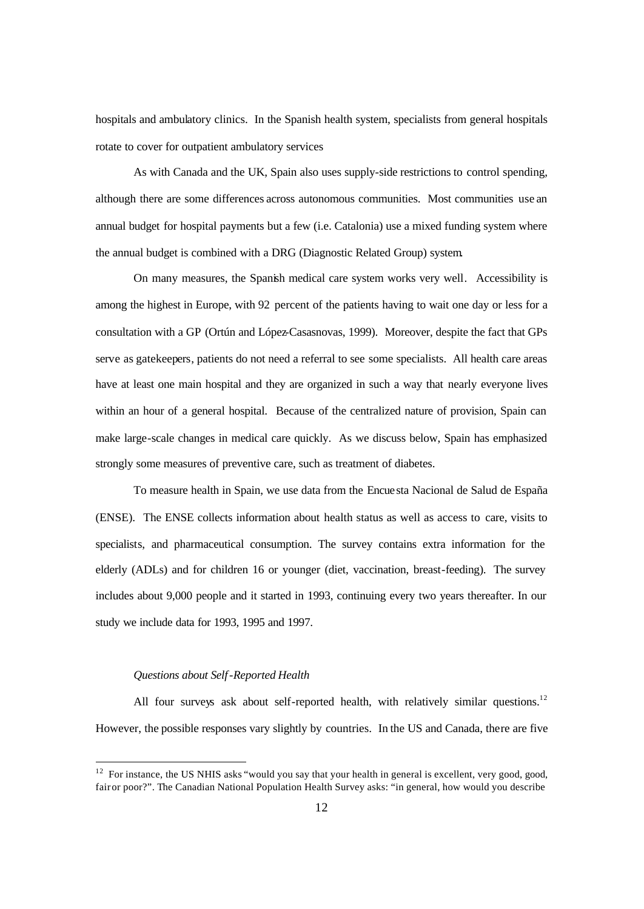hospitals and ambulatory clinics. In the Spanish health system, specialists from general hospitals rotate to cover for outpatient ambulatory services

As with Canada and the UK, Spain also uses supply-side restrictions to control spending, although there are some differences across autonomous communities. Most communities use an annual budget for hospital payments but a few (i.e. Catalonia) use a mixed funding system where the annual budget is combined with a DRG (Diagnostic Related Group) system.

On many measures, the Spanish medical care system works very well. Accessibility is among the highest in Europe, with 92 percent of the patients having to wait one day or less for a consultation with a GP (Ortún and López-Casasnovas, 1999). Moreover, despite the fact that GPs serve as gatekeepers, patients do not need a referral to see some specialists. All health care areas have at least one main hospital and they are organized in such a way that nearly everyone lives within an hour of a general hospital. Because of the centralized nature of provision, Spain can make large-scale changes in medical care quickly. As we discuss below, Spain has emphasized strongly some measures of preventive care, such as treatment of diabetes.

To measure health in Spain, we use data from the Encuesta Nacional de Salud de España (ENSE). The ENSE collects information about health status as well as access to care, visits to specialists, and pharmaceutical consumption. The survey contains extra information for the elderly (ADLs) and for children 16 or younger (diet, vaccination, breast-feeding). The survey includes about 9,000 people and it started in 1993, continuing every two years thereafter. In our study we include data for 1993, 1995 and 1997.

### *Questions about Self-Reported Health*

All four surveys ask about self-reported health, with relatively similar questions.<sup>12</sup> However, the possible responses vary slightly by countries. In the US and Canada, there are five

 $12$  For instance, the US NHIS asks "would you say that your health in general is excellent, very good, good, fair or poor?". The Canadian National Population Health Survey asks: "in general, how would you describe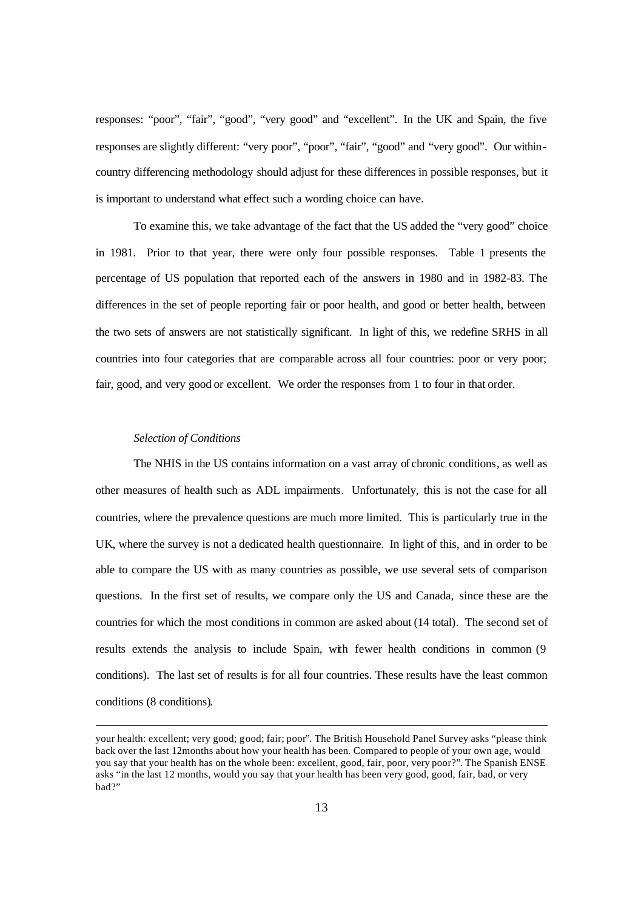responses: "poor", "fair", "good", "very good" and "excellent". In the UK and Spain, the five responses are slightly different: "very poor", "poor", "fair", "good" and "very good". Our withincountry differencing methodology should adjust for these differences in possible responses, but it is important to understand what effect such a wording choice can have.

To examine this, we take advantage of the fact that the US added the "very good" choice in 1981. Prior to that year, there were only four possible responses. Table 1 presents the percentage of US population that reported each of the answers in 1980 and in 1982-83. The differences in the set of people reporting fair or poor health, and good or better health, between the two sets of answers are not statistically significant. In light of this, we redefine SRHS in all countries into four categories that are comparable across all four countries: poor or very poor; fair, good, and very good or excellent. We order the responses from 1 to four in that order.

#### *Selection of Conditions*

The NHIS in the US contains information on a vast array of chronic conditions, as well as other measures of health such as ADL impairments. Unfortunately, this is not the case for all countries, where the prevalence questions are much more limited. This is particularly true in the UK, where the survey is not a dedicated health questionnaire. In light of this, and in order to be able to compare the US with as many countries as possible, we use several sets of comparison questions. In the first set of results, we compare only the US and Canada, since these are the countries for which the most conditions in common are asked about (14 total). The second set of results extends the analysis to include Spain, with fewer health conditions in common (9 conditions). The last set of results is for all four countries. These results have the least common conditions (8 conditions).

your health: excellent; very good; good; fair; poor". The British Household Panel Survey asks "please think back over the last 12months about how your health has been. Compared to people of your own age, would you say that your health has on the whole been: excellent, good, fair, poor, very poor?". The Spanish ENSE asks "in the last 12 months, would you say that your health has been very good, good, fair, bad, or very bad?"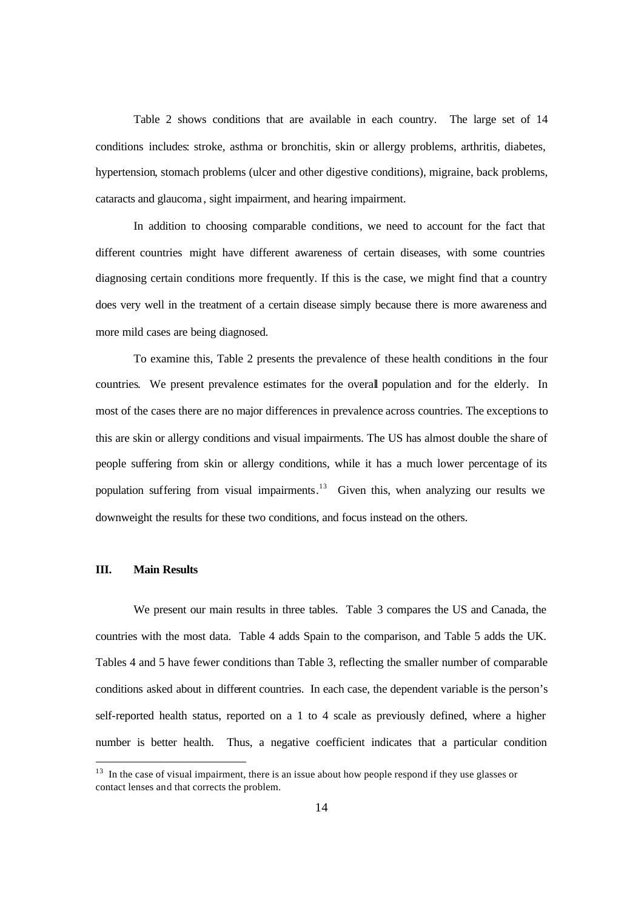Table 2 shows conditions that are available in each country. The large set of 14 conditions includes: stroke, asthma or bronchitis, skin or allergy problems, arthritis, diabetes, hypertension, stomach problems (ulcer and other digestive conditions), migraine, back problems, cataracts and glaucoma , sight impairment, and hearing impairment.

In addition to choosing comparable conditions, we need to account for the fact that different countries might have different awareness of certain diseases, with some countries diagnosing certain conditions more frequently. If this is the case, we might find that a country does very well in the treatment of a certain disease simply because there is more awareness and more mild cases are being diagnosed.

To examine this, Table 2 presents the prevalence of these health conditions in the four countries. We present prevalence estimates for the overall population and for the elderly. In most of the cases there are no major differences in prevalence across countries. The exceptions to this are skin or allergy conditions and visual impairments. The US has almost double the share of people suffering from skin or allergy conditions, while it has a much lower percentage of its population suffering from visual impairments.<sup>13</sup> Given this, when analyzing our results we downweight the results for these two conditions, and focus instead on the others.

#### **III. Main Results**

We present our main results in three tables. Table 3 compares the US and Canada, the countries with the most data. Table 4 adds Spain to the comparison, and Table 5 adds the UK. Tables 4 and 5 have fewer conditions than Table 3, reflecting the smaller number of comparable conditions asked about in different countries. In each case, the dependent variable is the person's self-reported health status, reported on a 1 to 4 scale as previously defined, where a higher number is better health. Thus, a negative coefficient indicates that a particular condition

<sup>&</sup>lt;sup>13</sup> In the case of visual impairment, there is an issue about how people respond if they use glasses or contact lenses and that corrects the problem.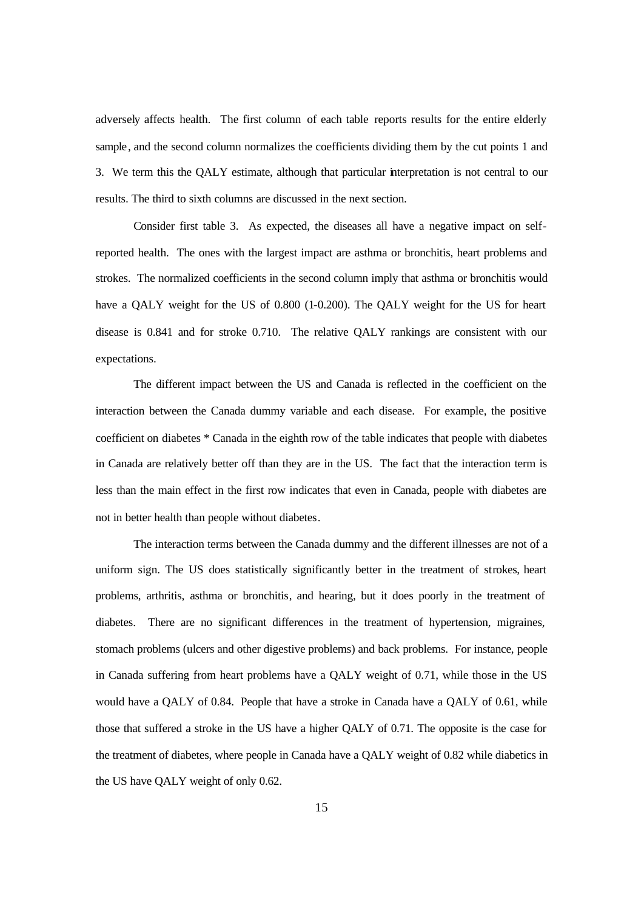adversely affects health. The first column of each table reports results for the entire elderly sample, and the second column normalizes the coefficients dividing them by the cut points 1 and 3. We term this the QALY estimate, although that particular interpretation is not central to our results. The third to sixth columns are discussed in the next section.

Consider first table 3. As expected, the diseases all have a negative impact on selfreported health. The ones with the largest impact are asthma or bronchitis, heart problems and strokes. The normalized coefficients in the second column imply that asthma or bronchitis would have a QALY weight for the US of 0.800 (1-0.200). The QALY weight for the US for heart disease is 0.841 and for stroke 0.710. The relative QALY rankings are consistent with our expectations.

The different impact between the US and Canada is reflected in the coefficient on the interaction between the Canada dummy variable and each disease. For example, the positive coefficient on diabetes \* Canada in the eighth row of the table indicates that people with diabetes in Canada are relatively better off than they are in the US. The fact that the interaction term is less than the main effect in the first row indicates that even in Canada, people with diabetes are not in better health than people without diabetes.

The interaction terms between the Canada dummy and the different illnesses are not of a uniform sign. The US does statistically significantly better in the treatment of strokes, heart problems, arthritis, asthma or bronchitis, and hearing, but it does poorly in the treatment of diabetes. There are no significant differences in the treatment of hypertension, migraines, stomach problems (ulcers and other digestive problems) and back problems. For instance, people in Canada suffering from heart problems have a QALY weight of 0.71, while those in the US would have a QALY of 0.84. People that have a stroke in Canada have a QALY of 0.61, while those that suffered a stroke in the US have a higher QALY of 0.71. The opposite is the case for the treatment of diabetes, where people in Canada have a QALY weight of 0.82 while diabetics in the US have QALY weight of only 0.62.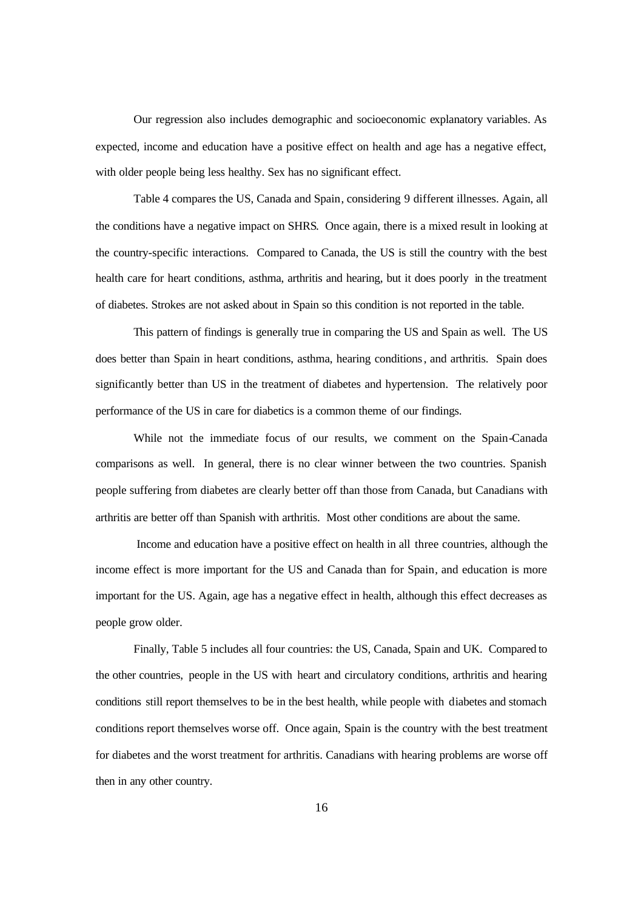Our regression also includes demographic and socioeconomic explanatory variables. As expected, income and education have a positive effect on health and age has a negative effect, with older people being less healthy. Sex has no significant effect.

Table 4 compares the US, Canada and Spain, considering 9 different illnesses. Again, all the conditions have a negative impact on SHRS. Once again, there is a mixed result in looking at the country-specific interactions. Compared to Canada, the US is still the country with the best health care for heart conditions, asthma, arthritis and hearing, but it does poorly in the treatment of diabetes. Strokes are not asked about in Spain so this condition is not reported in the table.

This pattern of findings is generally true in comparing the US and Spain as well. The US does better than Spain in heart conditions, asthma, hearing conditions, and arthritis. Spain does significantly better than US in the treatment of diabetes and hypertension. The relatively poor performance of the US in care for diabetics is a common theme of our findings.

While not the immediate focus of our results, we comment on the Spain-Canada comparisons as well. In general, there is no clear winner between the two countries. Spanish people suffering from diabetes are clearly better off than those from Canada, but Canadians with arthritis are better off than Spanish with arthritis. Most other conditions are about the same.

 Income and education have a positive effect on health in all three countries, although the income effect is more important for the US and Canada than for Spain, and education is more important for the US. Again, age has a negative effect in health, although this effect decreases as people grow older.

Finally, Table 5 includes all four countries: the US, Canada, Spain and UK. Compared to the other countries, people in the US with heart and circulatory conditions, arthritis and hearing conditions still report themselves to be in the best health, while people with diabetes and stomach conditions report themselves worse off. Once again, Spain is the country with the best treatment for diabetes and the worst treatment for arthritis. Canadians with hearing problems are worse off then in any other country.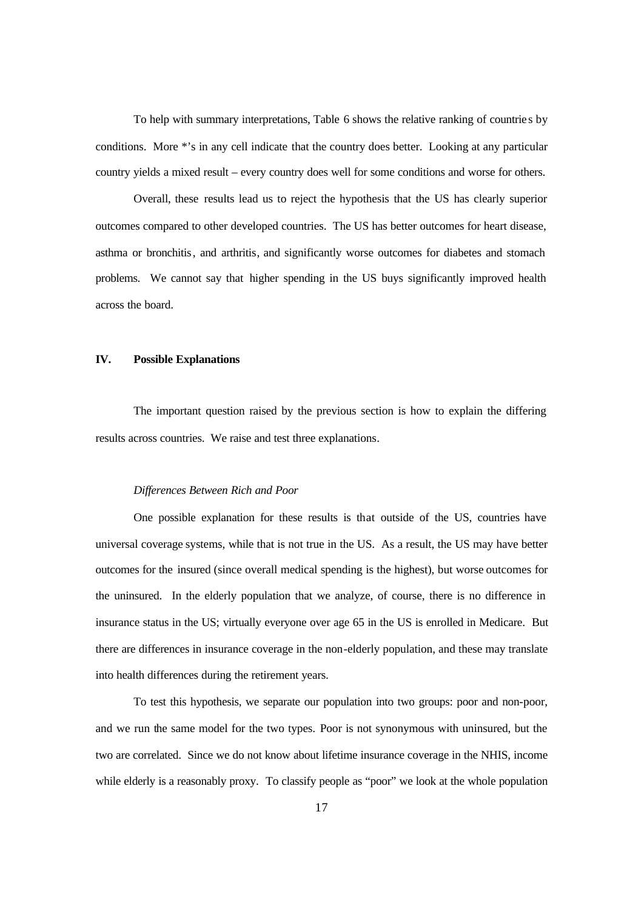To help with summary interpretations, Table 6 shows the relative ranking of countrie s by conditions. More \*'s in any cell indicate that the country does better. Looking at any particular country yields a mixed result – every country does well for some conditions and worse for others.

Overall, these results lead us to reject the hypothesis that the US has clearly superior outcomes compared to other developed countries. The US has better outcomes for heart disease, asthma or bronchitis, and arthritis, and significantly worse outcomes for diabetes and stomach problems. We cannot say that higher spending in the US buys significantly improved health across the board.

# **IV. Possible Explanations**

The important question raised by the previous section is how to explain the differing results across countries. We raise and test three explanations.

#### *Differences Between Rich and Poor*

One possible explanation for these results is that outside of the US, countries have universal coverage systems, while that is not true in the US. As a result, the US may have better outcomes for the insured (since overall medical spending is the highest), but worse outcomes for the uninsured. In the elderly population that we analyze, of course, there is no difference in insurance status in the US; virtually everyone over age 65 in the US is enrolled in Medicare. But there are differences in insurance coverage in the non-elderly population, and these may translate into health differences during the retirement years.

To test this hypothesis, we separate our population into two groups: poor and non-poor, and we run the same model for the two types. Poor is not synonymous with uninsured, but the two are correlated. Since we do not know about lifetime insurance coverage in the NHIS, income while elderly is a reasonably proxy. To classify people as "poor" we look at the whole population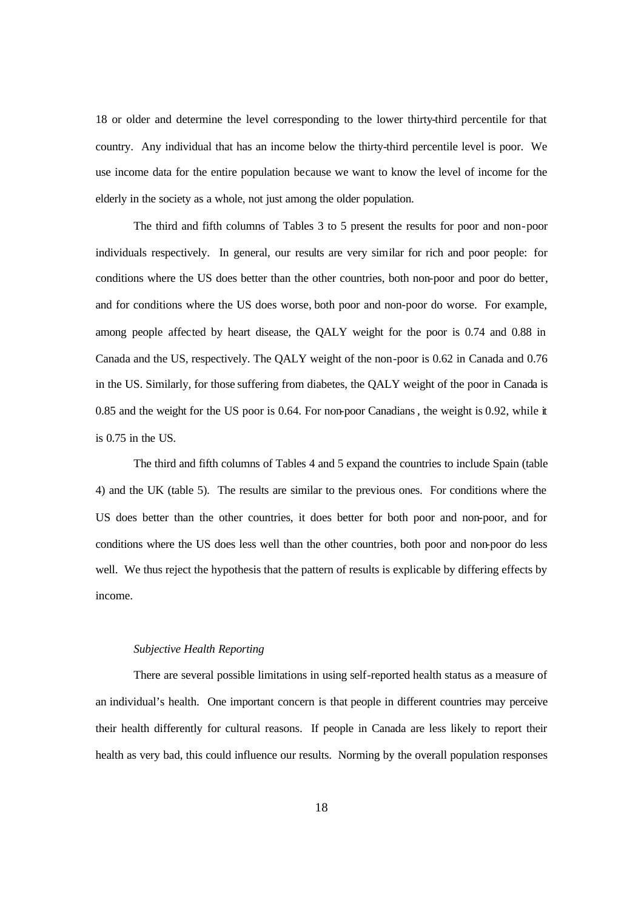18 or older and determine the level corresponding to the lower thirty-third percentile for that country. Any individual that has an income below the thirty-third percentile level is poor. We use income data for the entire population because we want to know the level of income for the elderly in the society as a whole, not just among the older population.

The third and fifth columns of Tables 3 to 5 present the results for poor and non-poor individuals respectively. In general, our results are very similar for rich and poor people: for conditions where the US does better than the other countries, both non-poor and poor do better, and for conditions where the US does worse, both poor and non-poor do worse. For example, among people affected by heart disease, the QALY weight for the poor is 0.74 and 0.88 in Canada and the US, respectively. The QALY weight of the non-poor is 0.62 in Canada and 0.76 in the US. Similarly, for those suffering from diabetes, the QALY weight of the poor in Canada is 0.85 and the weight for the US poor is 0.64. For non-poor Canadians, the weight is 0.92, while it is 0.75 in the US.

The third and fifth columns of Tables 4 and 5 expand the countries to include Spain (table 4) and the UK (table 5). The results are similar to the previous ones. For conditions where the US does better than the other countries, it does better for both poor and non-poor, and for conditions where the US does less well than the other countries, both poor and non-poor do less well. We thus reject the hypothesis that the pattern of results is explicable by differing effects by income.

# *Subjective Health Reporting*

There are several possible limitations in using self-reported health status as a measure of an individual's health. One important concern is that people in different countries may perceive their health differently for cultural reasons. If people in Canada are less likely to report their health as very bad, this could influence our results. Norming by the overall population responses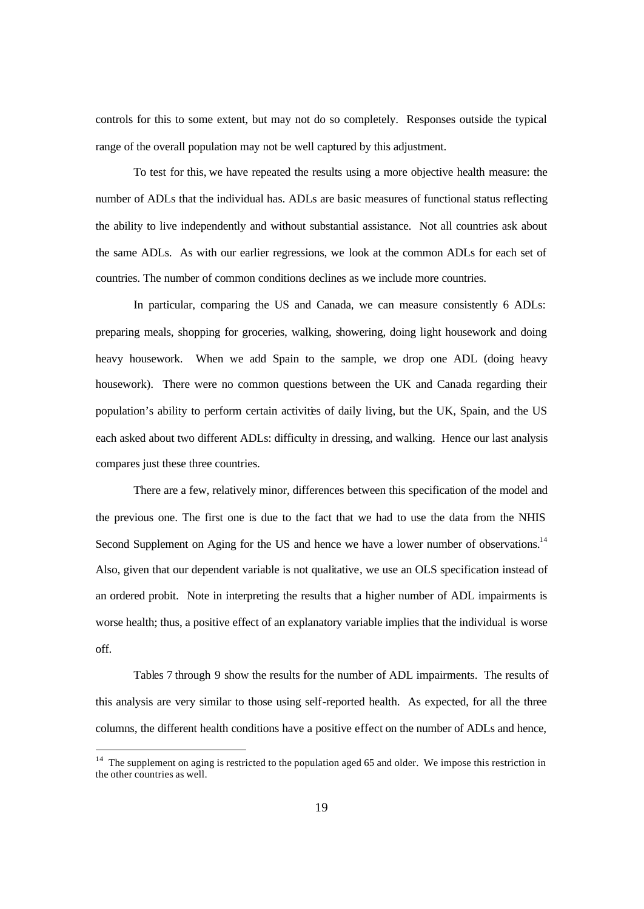controls for this to some extent, but may not do so completely. Responses outside the typical range of the overall population may not be well captured by this adjustment.

To test for this, we have repeated the results using a more objective health measure: the number of ADLs that the individual has. ADLs are basic measures of functional status reflecting the ability to live independently and without substantial assistance. Not all countries ask about the same ADLs. As with our earlier regressions, we look at the common ADLs for each set of countries. The number of common conditions declines as we include more countries.

In particular, comparing the US and Canada, we can measure consistently 6 ADLs: preparing meals, shopping for groceries, walking, showering, doing light housework and doing heavy housework. When we add Spain to the sample, we drop one ADL (doing heavy housework). There were no common questions between the UK and Canada regarding their population's ability to perform certain activities of daily living, but the UK, Spain, and the US each asked about two different ADLs: difficulty in dressing, and walking. Hence our last analysis compares just these three countries.

There are a few, relatively minor, differences between this specification of the model and the previous one. The first one is due to the fact that we had to use the data from the NHIS Second Supplement on Aging for the US and hence we have a lower number of observations.<sup>14</sup> Also, given that our dependent variable is not qualitative, we use an OLS specification instead of an ordered probit. Note in interpreting the results that a higher number of ADL impairments is worse health; thus, a positive effect of an explanatory variable implies that the individual is worse off.

Tables 7 through 9 show the results for the number of ADL impairments. The results of this analysis are very similar to those using self-reported health. As expected, for all the three columns, the different health conditions have a positive effect on the number of ADLs and hence,

 $14$  The supplement on aging is restricted to the population aged 65 and older. We impose this restriction in the other countries as well.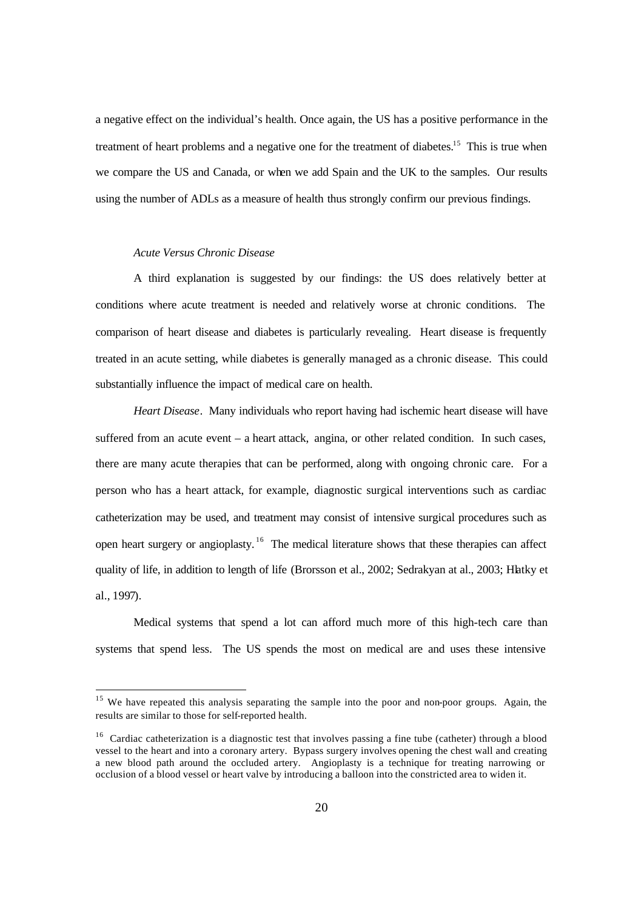a negative effect on the individual's health. Once again, the US has a positive performance in the treatment of heart problems and a negative one for the treatment of diabetes.<sup>15</sup> This is true when we compare the US and Canada, or when we add Spain and the UK to the samples. Our results using the number of ADLs as a measure of health thus strongly confirm our previous findings.

#### *Acute Versus Chronic Disease*

A third explanation is suggested by our findings: the US does relatively better at conditions where acute treatment is needed and relatively worse at chronic conditions. The comparison of heart disease and diabetes is particularly revealing. Heart disease is frequently treated in an acute setting, while diabetes is generally managed as a chronic disease. This could substantially influence the impact of medical care on health.

*Heart Disease.* Many individuals who report having had ischemic heart disease will have suffered from an acute event – a heart attack, angina, or other related condition. In such cases, there are many acute therapies that can be performed, along with ongoing chronic care. For a person who has a heart attack, for example, diagnostic surgical interventions such as cardiac catheterization may be used, and treatment may consist of intensive surgical procedures such as open heart surgery or angioplasty.<sup>16</sup> The medical literature shows that these therapies can affect quality of life, in addition to length of life (Brorsson et al., 2002; Sedrakyan at al., 2003; Hatky et al., 1997).

Medical systems that spend a lot can afford much more of this high-tech care than systems that spend less. The US spends the most on medical are and uses these intensive

<sup>&</sup>lt;sup>15</sup> We have repeated this analysis separating the sample into the poor and non-poor groups. Again, the results are similar to those for self-reported health.

<sup>&</sup>lt;sup>16</sup> Cardiac catheterization is a diagnostic test that involves passing a fine tube (catheter) through a blood vessel to the heart and into a coronary artery. Bypass surgery involves opening the chest wall and creating a new blood path around the occluded artery. Angioplasty is a technique for treating narrowing or occlusion of a blood vessel or heart valve by introducing a balloon into the constricted area to widen it.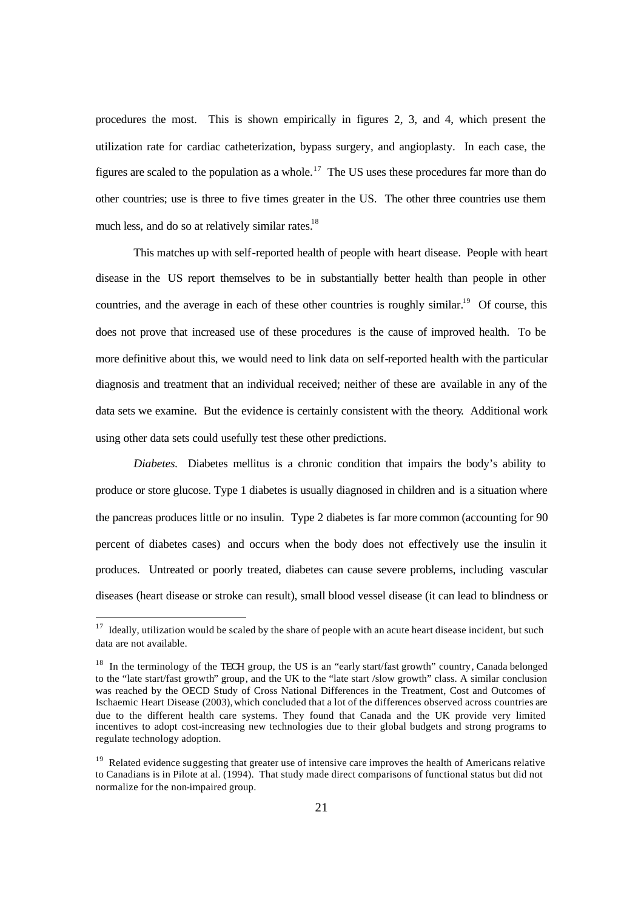procedures the most. This is shown empirically in figures 2, 3, and 4, which present the utilization rate for cardiac catheterization, bypass surgery, and angioplasty. In each case, the figures are scaled to the population as a whole.<sup>17</sup> The US uses these procedures far more than do other countries; use is three to five times greater in the US. The other three countries use them much less, and do so at relatively similar rates.<sup>18</sup>

This matches up with self-reported health of people with heart disease. People with heart disease in the US report themselves to be in substantially better health than people in other countries, and the average in each of these other countries is roughly similar.<sup>19</sup> Of course, this does not prove that increased use of these procedures is the cause of improved health. To be more definitive about this, we would need to link data on self-reported health with the particular diagnosis and treatment that an individual received; neither of these are available in any of the data sets we examine. But the evidence is certainly consistent with the theory. Additional work using other data sets could usefully test these other predictions.

*Diabetes.* Diabetes mellitus is a chronic condition that impairs the body's ability to produce or store glucose. Type 1 diabetes is usually diagnosed in children and is a situation where the pancreas produces little or no insulin. Type 2 diabetes is far more common (accounting for 90 percent of diabetes cases) and occurs when the body does not effectively use the insulin it produces. Untreated or poorly treated, diabetes can cause severe problems, including vascular diseases (heart disease or stroke can result), small blood vessel disease (it can lead to blindness or

<sup>&</sup>lt;sup>17</sup> Ideally, utilization would be scaled by the share of people with an acute heart disease incident, but such data are not available.

<sup>&</sup>lt;sup>18</sup> In the terminology of the TECH group, the US is an "early start/fast growth" country, Canada belonged to the "late start/fast growth" group, and the UK to the "late start /slow growth" class. A similar conclusion was reached by the OECD Study of Cross National Differences in the Treatment, Cost and Outcomes of Ischaemic Heart Disease (2003), which concluded that a lot of the differences observed across countries are due to the different health care systems. They found that Canada and the UK provide very limited incentives to adopt cost-increasing new technologies due to their global budgets and strong programs to regulate technology adoption.

<sup>&</sup>lt;sup>19</sup> Related evidence suggesting that greater use of intensive care improves the health of Americans relative to Canadians is in Pilote at al. (1994). That study made direct comparisons of functional status but did not normalize for the non-impaired group.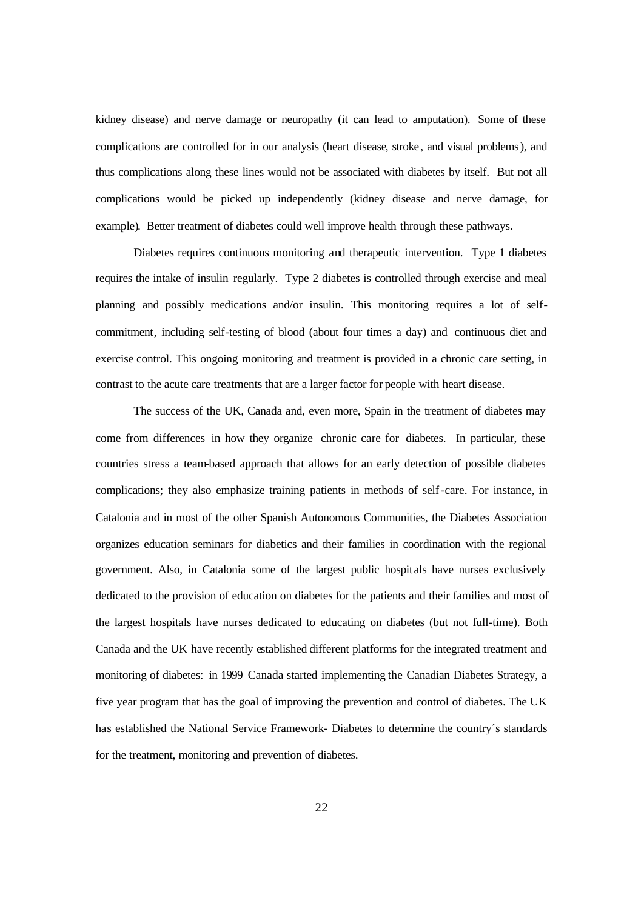kidney disease) and nerve damage or neuropathy (it can lead to amputation). Some of these complications are controlled for in our analysis (heart disease, stroke, and visual problems), and thus complications along these lines would not be associated with diabetes by itself. But not all complications would be picked up independently (kidney disease and nerve damage, for example). Better treatment of diabetes could well improve health through these pathways.

Diabetes requires continuous monitoring and therapeutic intervention. Type 1 diabetes requires the intake of insulin regularly. Type 2 diabetes is controlled through exercise and meal planning and possibly medications and/or insulin. This monitoring requires a lot of selfcommitment, including self-testing of blood (about four times a day) and continuous diet and exercise control. This ongoing monitoring and treatment is provided in a chronic care setting, in contrast to the acute care treatments that are a larger factor for people with heart disease.

The success of the UK, Canada and, even more, Spain in the treatment of diabetes may come from differences in how they organize chronic care for diabetes. In particular, these countries stress a team-based approach that allows for an early detection of possible diabetes complications; they also emphasize training patients in methods of self-care. For instance, in Catalonia and in most of the other Spanish Autonomous Communities, the Diabetes Association organizes education seminars for diabetics and their families in coordination with the regional government. Also, in Catalonia some of the largest public hospit als have nurses exclusively dedicated to the provision of education on diabetes for the patients and their families and most of the largest hospitals have nurses dedicated to educating on diabetes (but not full-time). Both Canada and the UK have recently established different platforms for the integrated treatment and monitoring of diabetes: in 1999 Canada started implementing the Canadian Diabetes Strategy, a five year program that has the goal of improving the prevention and control of diabetes. The UK has established the National Service Framework- Diabetes to determine the country´s standards for the treatment, monitoring and prevention of diabetes.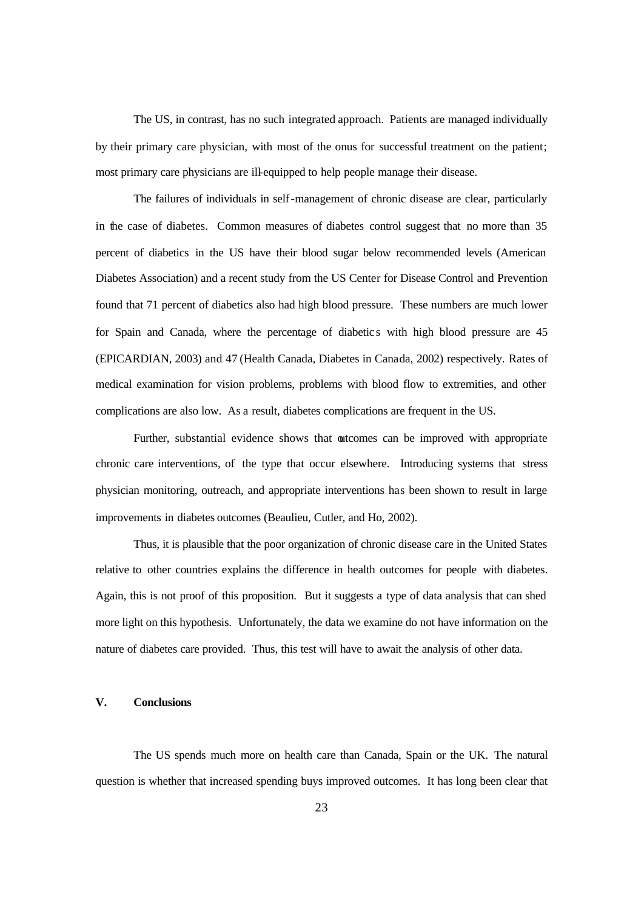The US, in contrast, has no such integrated approach. Patients are managed individually by their primary care physician, with most of the onus for successful treatment on the patient; most primary care physicians are ill-equipped to help people manage their disease.

The failures of individuals in self-management of chronic disease are clear, particularly in the case of diabetes. Common measures of diabetes control suggest that no more than 35 percent of diabetics in the US have their blood sugar below recommended levels (American Diabetes Association) and a recent study from the US Center for Disease Control and Prevention found that 71 percent of diabetics also had high blood pressure. These numbers are much lower for Spain and Canada, where the percentage of diabetic s with high blood pressure are 45 (EPICARDIAN, 2003) and 47 (Health Canada, Diabetes in Canada, 2002) respectively. Rates of medical examination for vision problems, problems with blood flow to extremities, and other complications are also low. As a result, diabetes complications are frequent in the US.

Further, substantial evidence shows that outcomes can be improved with appropriate chronic care interventions, of the type that occur elsewhere. Introducing systems that stress physician monitoring, outreach, and appropriate interventions has been shown to result in large improvements in diabetes outcomes (Beaulieu, Cutler, and Ho, 2002).

Thus, it is plausible that the poor organization of chronic disease care in the United States relative to other countries explains the difference in health outcomes for people with diabetes. Again, this is not proof of this proposition. But it suggests a type of data analysis that can shed more light on this hypothesis. Unfortunately, the data we examine do not have information on the nature of diabetes care provided. Thus, this test will have to await the analysis of other data.

### **V. Conclusions**

The US spends much more on health care than Canada, Spain or the UK. The natural question is whether that increased spending buys improved outcomes. It has long been clear that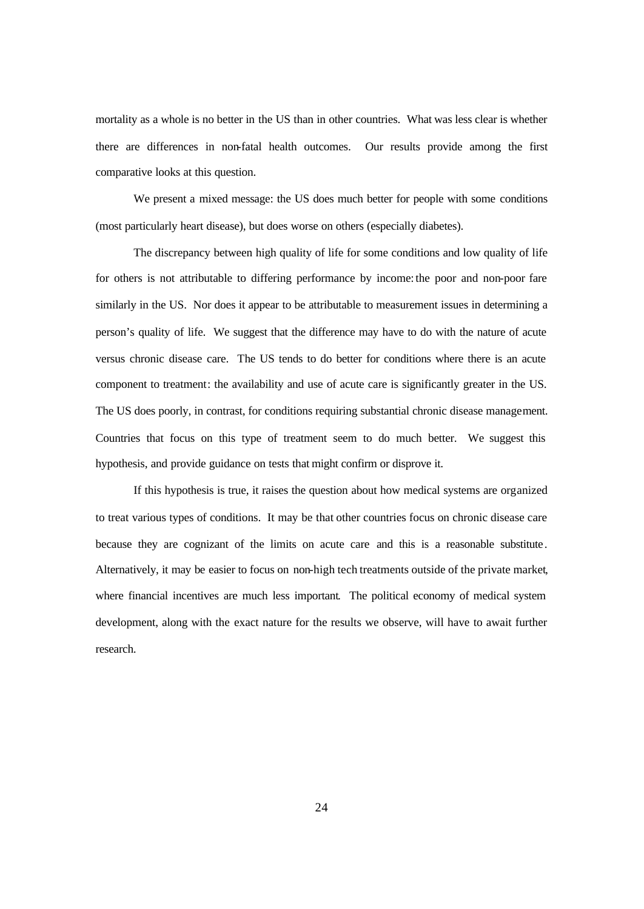mortality as a whole is no better in the US than in other countries. What was less clear is whether there are differences in non-fatal health outcomes. Our results provide among the first comparative looks at this question.

We present a mixed message: the US does much better for people with some conditions (most particularly heart disease), but does worse on others (especially diabetes).

The discrepancy between high quality of life for some conditions and low quality of life for others is not attributable to differing performance by income: the poor and non-poor fare similarly in the US. Nor does it appear to be attributable to measurement issues in determining a person's quality of life. We suggest that the difference may have to do with the nature of acute versus chronic disease care. The US tends to do better for conditions where there is an acute component to treatment: the availability and use of acute care is significantly greater in the US. The US does poorly, in contrast, for conditions requiring substantial chronic disease management. Countries that focus on this type of treatment seem to do much better. We suggest this hypothesis, and provide guidance on tests that might confirm or disprove it.

If this hypothesis is true, it raises the question about how medical systems are organized to treat various types of conditions. It may be that other countries focus on chronic disease care because they are cognizant of the limits on acute care and this is a reasonable substitute . Alternatively, it may be easier to focus on non-high tech treatments outside of the private market, where financial incentives are much less important. The political economy of medical system development, along with the exact nature for the results we observe, will have to await further research.

24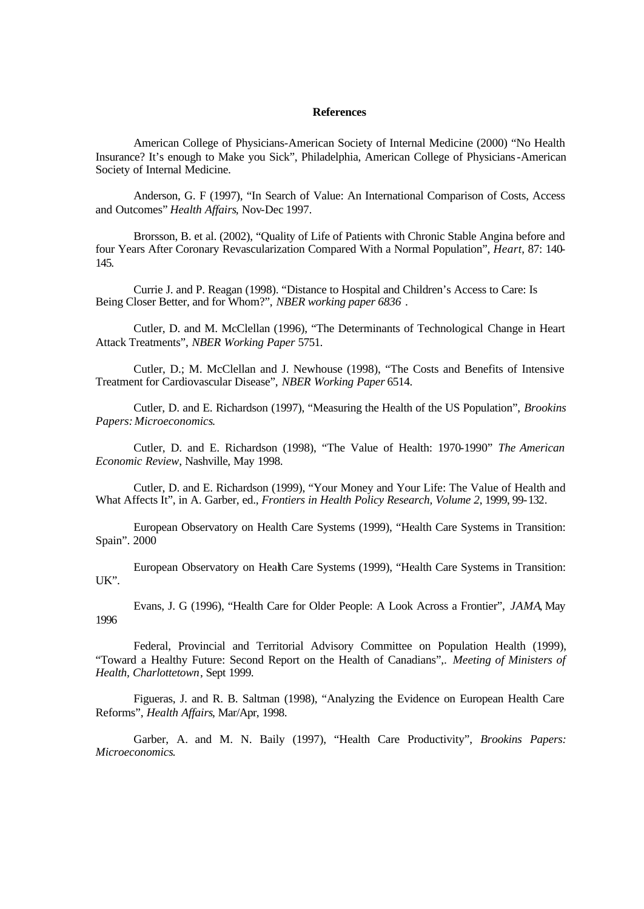#### **References**

American College of Physicians-American Society of Internal Medicine (2000) "No Health Insurance? It's enough to Make you Sick", Philadelphia, American College of Physicians-American Society of Internal Medicine.

Anderson, G. F (1997), "In Search of Value: An International Comparison of Costs, Access and Outcomes" *Health Affairs*, Nov-Dec 1997.

Brorsson, B. et al. (2002), "Quality of Life of Patients with Chronic Stable Angina before and four Years After Coronary Revascularization Compared With a Normal Population", *Heart*, 87: 140- 145.

Currie J. and P. Reagan (1998). "Distance to Hospital and Children's Access to Care: Is Being Closer Better, and for Whom?", *NBER working paper 6836* .

Cutler, D. and M. McClellan (1996), "The Determinants of Technological Change in Heart Attack Treatments", *NBER Working Paper* 5751.

Cutler, D.; M. McClellan and J. Newhouse (1998), "The Costs and Benefits of Intensive Treatment for Cardiovascular Disease", *NBER Working Paper* 6514.

Cutler, D. and E. Richardson (1997), "Measuring the Health of the US Population", *Brookins Papers: Microeconomics*.

Cutler, D. and E. Richardson (1998), "The Value of Health: 1970-1990" *The American Economic Review*, Nashville, May 1998.

Cutler, D. and E. Richardson (1999), "Your Money and Your Life: The Value of Health and What Affects It", in A. Garber, ed., *Frontiers in Health Policy Research, Volume 2*, 1999, 99-132.

European Observatory on Health Care Systems (1999), "Health Care Systems in Transition: Spain". 2000

European Observatory on Health Care Systems (1999), "Health Care Systems in Transition: UK".

Evans, J. G (1996), "Health Care for Older People: A Look Across a Frontier", *JAMA*, May 1996

Federal, Provincial and Territorial Advisory Committee on Population Health (1999), "Toward a Healthy Future: Second Report on the Health of Canadians",. *Meeting of Ministers of Health, Charlottetown*, Sept 1999.

Figueras, J. and R. B. Saltman (1998), "Analyzing the Evidence on European Health Care Reforms", *Health Affairs*, Mar/Apr, 1998.

Garber, A. and M. N. Baily (1997), "Health Care Productivity", *Brookins Papers: Microeconomics*.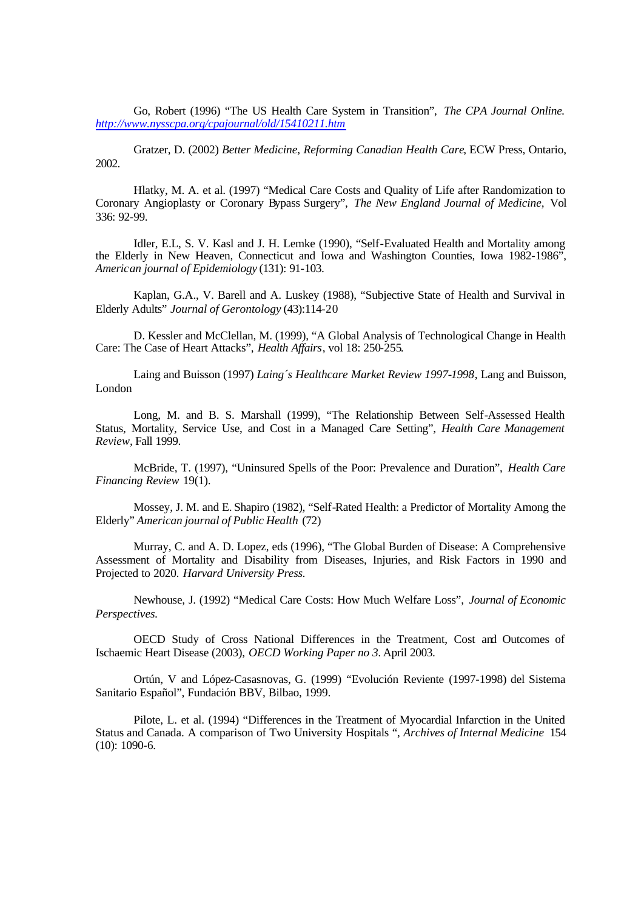Go, Robert (1996) "The US Health Care System in Transition", *The CPA Journal Online. http://www.nysscpa.org/cpajournal/old/15410211.htm*

Gratzer, D. (2002) *Better Medicine, Reforming Canadian Health Care*, ECW Press, Ontario, 2002.

Hlatky, M. A. et al. (1997) "Medical Care Costs and Quality of Life after Randomization to Coronary Angioplasty or Coronary Bypass Surgery", *The New England Journal of Medicine,* Vol 336: 92-99.

Idler, E.L, S. V. Kasl and J. H. Lemke (1990), "Self-Evaluated Health and Mortality among the Elderly in New Heaven, Connecticut and Iowa and Washington Counties, Iowa 1982-1986", *American journal of Epidemiology* (131): 91-103.

Kaplan, G.A., V. Barell and A. Luskey (1988), "Subjective State of Health and Survival in Elderly Adults" *Journal of Gerontology* (43):114-20

D. Kessler and McClellan, M. (1999), "A Global Analysis of Technological Change in Health Care: The Case of Heart Attacks", *Health Affairs*, vol 18: 250-255*.*

Laing and Buisson (1997) *Laing´s Healthcare Market Review 1997-1998*, Lang and Buisson, London

Long, M. and B. S. Marshall (1999), "The Relationship Between Self-Assessed Health Status, Mortality, Service Use, and Cost in a Managed Care Setting", *Health Care Management Review,* Fall 1999.

McBride, T. (1997), "Uninsured Spells of the Poor: Prevalence and Duration", *Health Care Financing Review* 19(1).

Mossey, J. M. and E. Shapiro (1982), "Self-Rated Health: a Predictor of Mortality Among the Elderly" *American journal of Public Health* (72)

Murray, C. and A. D. Lopez, eds (1996), "The Global Burden of Disease: A Comprehensive Assessment of Mortality and Disability from Diseases, Injuries, and Risk Factors in 1990 and Projected to 2020. *Harvard University Press.*

Newhouse, J. (1992) "Medical Care Costs: How Much Welfare Loss", *Journal of Economic Perspectives.*

OECD Study of Cross National Differences in the Treatment, Cost and Outcomes of Ischaemic Heart Disease (2003), *OECD Working Paper no 3.* April 2003.

Ortún, V and López-Casasnovas, G. (1999) "Evolución Reviente (1997-1998) del Sistema Sanitario Español", Fundación BBV, Bilbao, 1999.

Pilote, L. et al. (1994) "Differences in the Treatment of Myocardial Infarction in the United Status and Canada. A comparison of Two University Hospitals ", *Archives of Internal Medicine* 154 (10): 1090-6.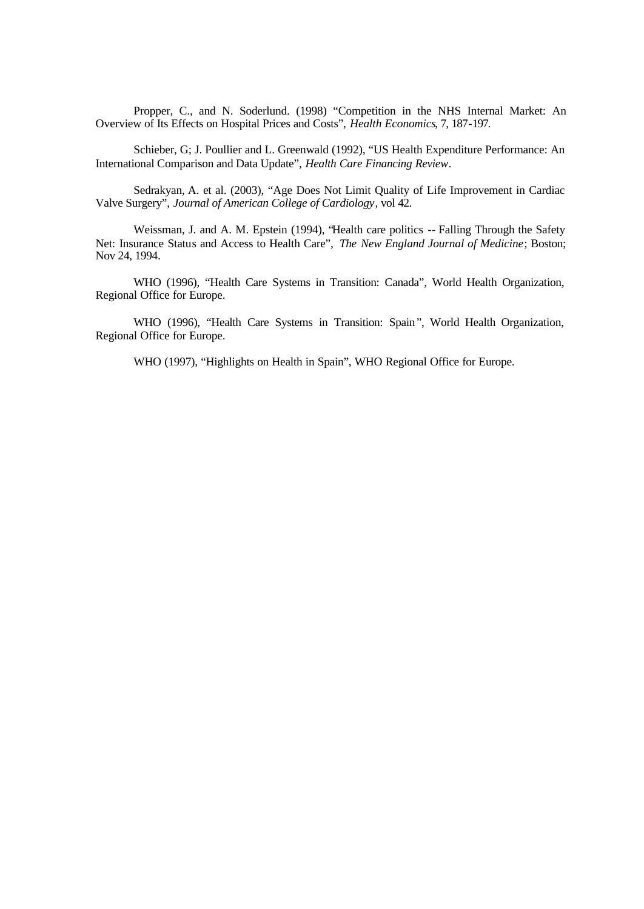Propper, C., and N. Soderlund. (1998) "Competition in the NHS Internal Market: An Overview of Its Effects on Hospital Prices and Costs", *Health Economics*, 7, 187-197.

Schieber, G; J. Poullier and L. Greenwald (1992), "US Health Expenditure Performance: An International Comparison and Data Update", *Health Care Financing Review.*

Sedrakyan, A. et al. (2003), "Age Does Not Limit Quality of Life Improvement in Cardiac Valve Surgery", *Journal of American College of Cardiology*, vol 42.

Weissman, J. and A. M. Epstein (1994), "Health care politics -- Falling Through the Safety Net: Insurance Status and Access to Health Care", *The New England Journal of Medicine*; Boston; Nov 24, 1994.

WHO (1996), "Health Care Systems in Transition: Canada", World Health Organization, Regional Office for Europe.

WHO (1996), "Health Care Systems in Transition: Spain", World Health Organization, Regional Office for Europe.

WHO (1997), "Highlights on Health in Spain", WHO Regional Office for Europe.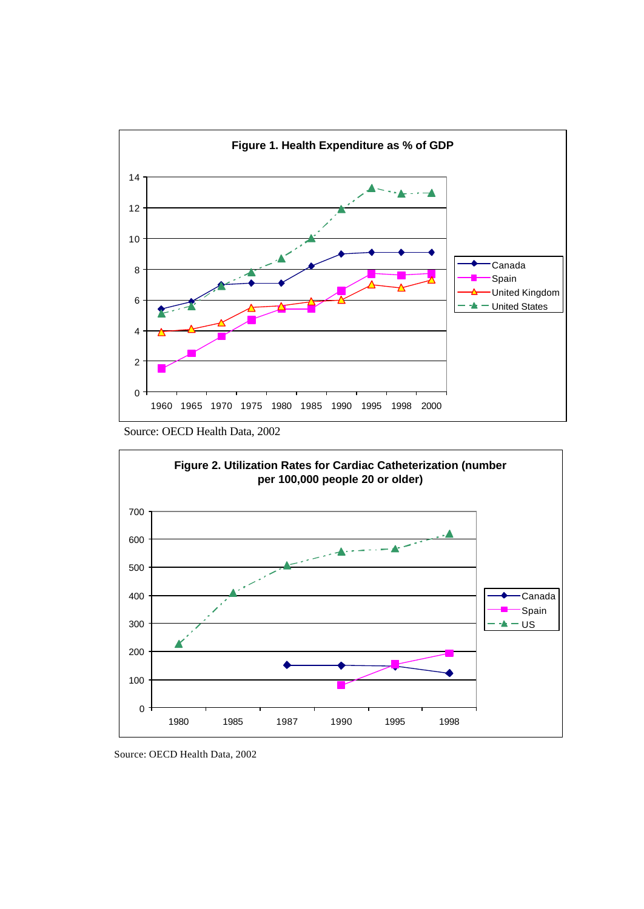

Source: OECD Health Data, 2002



Source: OECD Health Data, 2002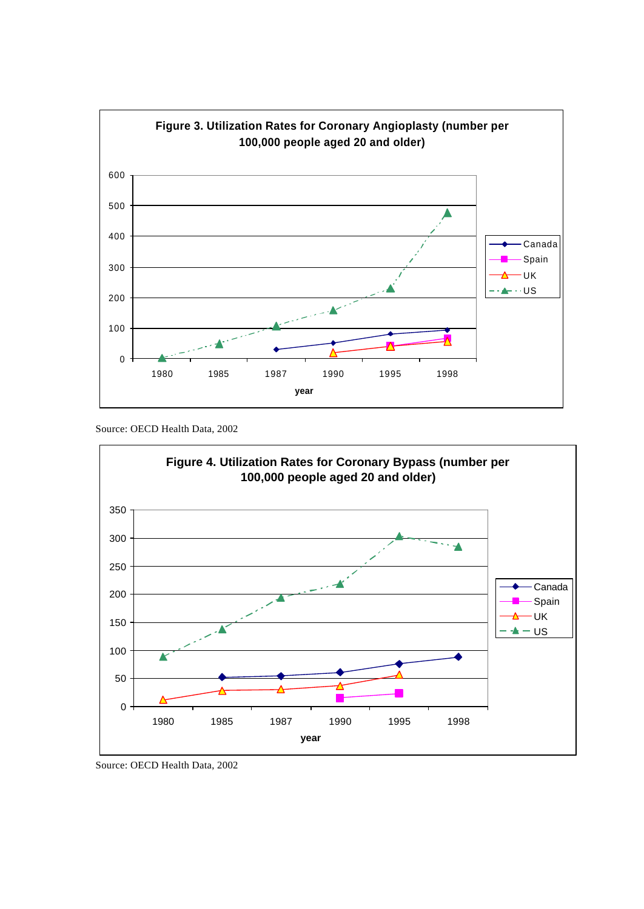

Source: OECD Health Data, 2002



Source: OECD Health Data, 2002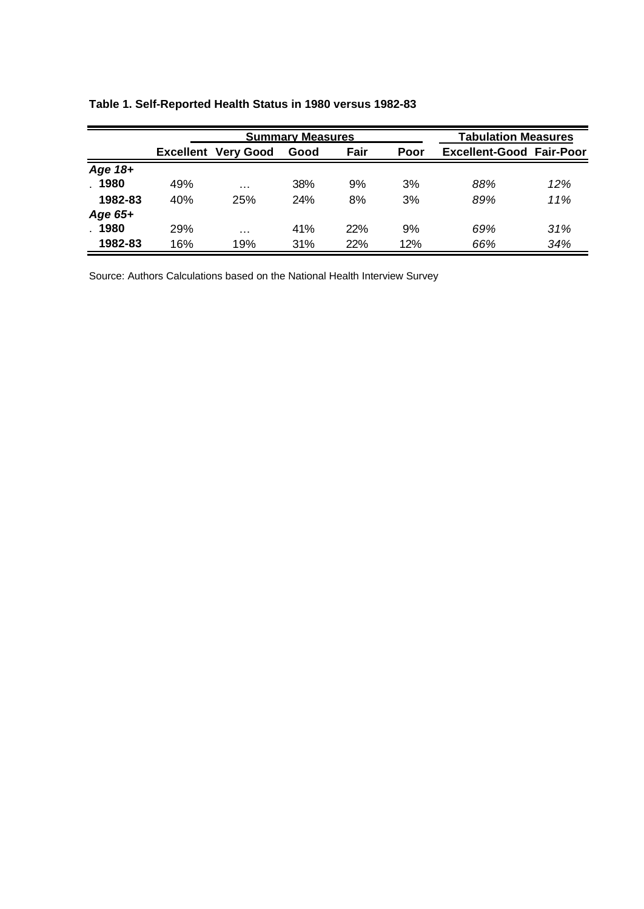|           | <b>Summary Measures</b> |                            |            |      |      | <b>Tabulation Measures</b>      |     |
|-----------|-------------------------|----------------------------|------------|------|------|---------------------------------|-----|
|           |                         | <b>Excellent Very Good</b> | Good       | Fair | Poor | <b>Excellent-Good Fair-Poor</b> |     |
| Age $18+$ |                         |                            |            |      |      |                                 |     |
| .1980     | 49%                     | $\cdots$                   | <b>38%</b> | 9%   | 3%   | 88%                             | 12% |
| 1982-83   | 40%                     | 25%                        | <b>24%</b> | 8%   | 3%   | 89%                             | 11% |
| Age $65+$ |                         |                            |            |      |      |                                 |     |
| . 1980    | 29%                     | $\cdots$                   | 41%        | 22%  | 9%   | 69%                             | 31% |
| 1982-83   | 16%                     | 19%                        | 31%        | 22%  | 12%  | 66%                             | 34% |

# **Table 1. Self-Reported Health Status in 1980 versus 1982-83**

Source: Authors Calculations based on the National Health Interview Survey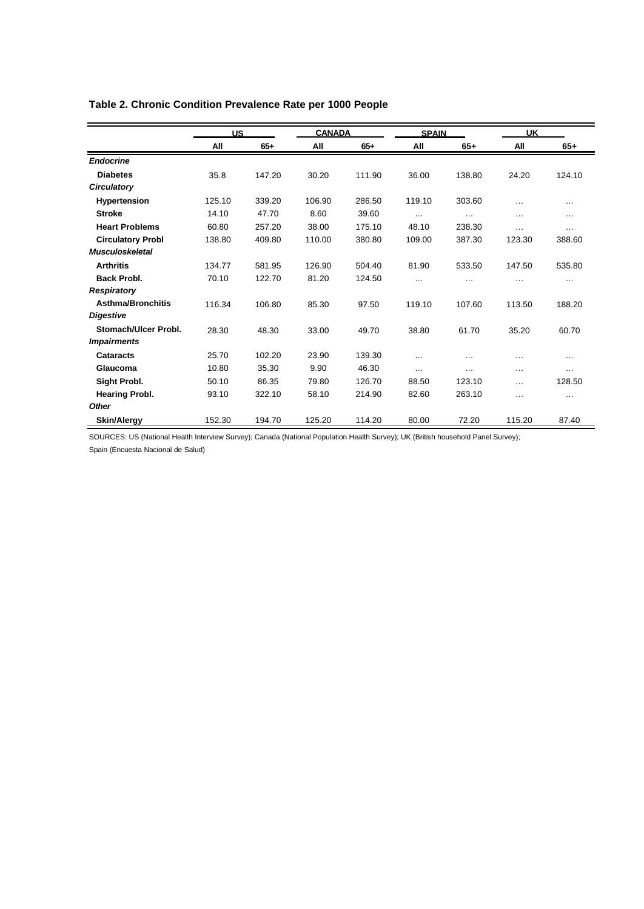# **Table 2. Chronic Condition Prevalence Rate per 1000 People**

|                          | <b>US</b> |        | <b>CANADA</b> |        | <b>SPAIN</b> |          | <b>UK</b> |          |
|--------------------------|-----------|--------|---------------|--------|--------------|----------|-----------|----------|
|                          | All       | $65+$  | All           | $65+$  | All          | $65+$    | All       | $65+$    |
| <b>Endocrine</b>         |           |        |               |        |              |          |           |          |
| <b>Diabetes</b>          | 35.8      | 147.20 | 30.20         | 111.90 | 36.00        | 138.80   | 24.20     | 124.10   |
| <b>Circulatory</b>       |           |        |               |        |              |          |           |          |
| <b>Hypertension</b>      | 125.10    | 339.20 | 106.90        | 286.50 | 119.10       | 303.60   | $\cdots$  | $\cdots$ |
| <b>Stroke</b>            | 14.10     | 47.70  | 8.60          | 39.60  | $\cdots$     | $\cdots$ | $\cdots$  | $\cdots$ |
| <b>Heart Problems</b>    | 60.80     | 257.20 | 38.00         | 175.10 | 48.10        | 238.30   | $\cdots$  | $\cdots$ |
| <b>Circulatory Probl</b> | 138.80    | 409.80 | 110.00        | 380.80 | 109.00       | 387.30   | 123.30    | 388.60   |
| <b>Musculoskeletal</b>   |           |        |               |        |              |          |           |          |
| <b>Arthritis</b>         | 134.77    | 581.95 | 126.90        | 504.40 | 81.90        | 533.50   | 147.50    | 535.80   |
| <b>Back Probl.</b>       | 70.10     | 122.70 | 81.20         | 124.50 | $\cdots$     |          | $\cdots$  | $\cdots$ |
| <b>Respiratory</b>       |           |        |               |        |              |          |           |          |
| <b>Asthma/Bronchitis</b> | 116.34    | 106.80 | 85.30         | 97.50  | 119.10       | 107.60   | 113.50    | 188.20   |
| <b>Digestive</b>         |           |        |               |        |              |          |           |          |
| Stomach/Ulcer Probl.     | 28.30     | 48.30  | 33.00         | 49.70  | 38.80        | 61.70    | 35.20     | 60.70    |
| <b>Impairments</b>       |           |        |               |        |              |          |           |          |
| Cataracts                | 25.70     | 102.20 | 23.90         | 139.30 | $\cdots$     | $\cdots$ | $\cdots$  | $\cdots$ |
| Glaucoma                 | 10.80     | 35.30  | 9.90          | 46.30  | $\cdots$     | $\cdots$ | $\cdots$  | $\cdots$ |
| Sight Probl.             | 50.10     | 86.35  | 79.80         | 126.70 | 88.50        | 123.10   | $\cdots$  | 128.50   |
| <b>Hearing Probl.</b>    | 93.10     | 322.10 | 58.10         | 214.90 | 82.60        | 263.10   | $\cdots$  | $\cdots$ |
| <b>Other</b>             |           |        |               |        |              |          |           |          |
| <b>Skin/Alergy</b>       | 152.30    | 194.70 | 125.20        | 114.20 | 80.00        | 72.20    | 115.20    | 87.40    |

SOURCES: US (National Health Interview Survey); Canada (National Population Health Survey); UK (British household Panel Survey);

Spain (Encuesta Nacional de Salud)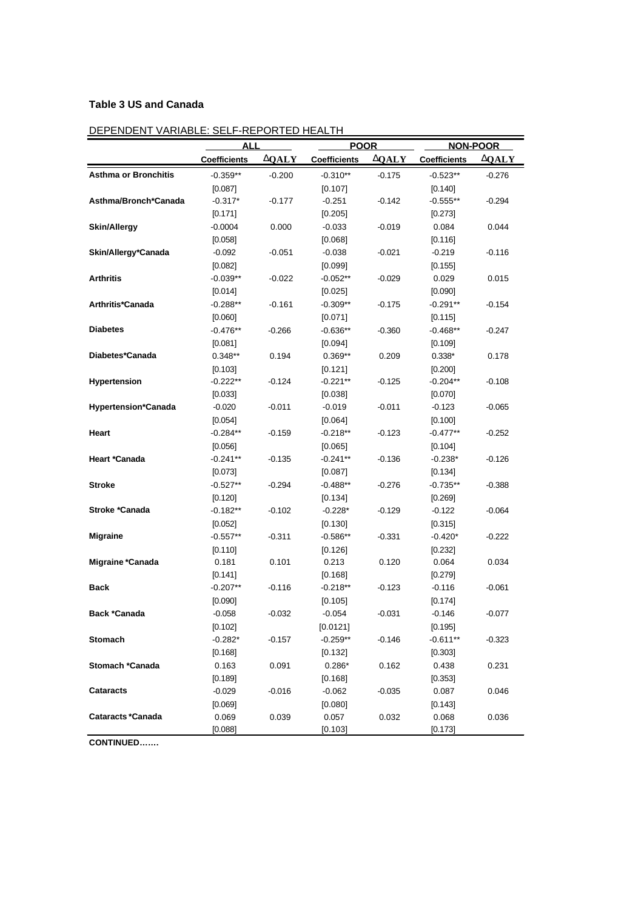# **Table 3 US and Canada**

# DEPENDENT VARIABLE: SELF-REPORTED HEALTH

| <u>DEFENDENT VANIABLE. SELF-NEFONTED HEALTH</u> |                     | ALL<br><b>POOR</b> |                     |               |                     | <b>NON-POOR</b> |
|-------------------------------------------------|---------------------|--------------------|---------------------|---------------|---------------------|-----------------|
|                                                 | <b>Coefficients</b> | <b>D</b> QALY      | <b>Coefficients</b> | <b>D</b> QALY | <b>Coefficients</b> | <b>DOALY</b>    |
| <b>Asthma or Bronchitis</b>                     | $-0.359**$          | $-0.200$           | $-0.310**$          | $-0.175$      | $-0.523**$          | $-0.276$        |
|                                                 | [0.087]             |                    | [0.107]             |               | [0.140]             |                 |
| Asthma/Bronch*Canada                            | $-0.317*$           | $-0.177$           | $-0.251$            | $-0.142$      | $-0.555**$          | $-0.294$        |
|                                                 | [0.171]             |                    | [0.205]             |               | [0.273]             |                 |
| <b>Skin/Allergy</b>                             | $-0.0004$           | 0.000              | $-0.033$            | $-0.019$      | 0.084               | 0.044           |
|                                                 | [0.058]             |                    | [0.068]             |               | [0.116]             |                 |
| Skin/Allergy*Canada                             | $-0.092$            | $-0.051$           | $-0.038$            | $-0.021$      | $-0.219$            | $-0.116$        |
|                                                 | [0.082]             |                    | [0.099]             |               | [0.155]             |                 |
| <b>Arthritis</b>                                | $-0.039**$          | $-0.022$           | $-0.052**$          | $-0.029$      | 0.029               | 0.015           |
|                                                 | [0.014]             |                    | [0.025]             |               | [0.090]             |                 |
| Arthritis*Canada                                | $-0.288**$          | $-0.161$           | $-0.309**$          | $-0.175$      | $-0.291**$          | $-0.154$        |
|                                                 | [0.060]             |                    | [0.071]             |               | [0.115]             |                 |
| <b>Diabetes</b>                                 | $-0.476**$          | $-0.266$           | $-0.636**$          | $-0.360$      | $-0.468**$          | $-0.247$        |
|                                                 | [0.081]             |                    | [0.094]             |               | [0.109]             |                 |
| Diabetes*Canada                                 | $0.348**$           | 0.194              | $0.369**$           | 0.209         | $0.338*$            | 0.178           |
|                                                 | [0.103]             |                    | [0.121]             |               | [0.200]             |                 |
| Hypertension                                    | $-0.222**$          | $-0.124$           | $-0.221**$          | $-0.125$      | $-0.204**$          | $-0.108$        |
|                                                 | [0.033]             |                    | [0.038]             |               | [0.070]             |                 |
| <b>Hypertension*Canada</b>                      | $-0.020$            | $-0.011$           | $-0.019$            | $-0.011$      | $-0.123$            | $-0.065$        |
|                                                 | [0.054]             |                    | [0.064]             |               | [0.100]             |                 |
| Heart                                           | $-0.284**$          | $-0.159$           | $-0.218**$          | $-0.123$      | $-0.477**$          | $-0.252$        |
|                                                 | [0.056]             |                    | [0.065]             |               | [0.104]             |                 |
| Heart *Canada                                   | $-0.241**$          | $-0.135$           | $-0.241**$          | $-0.136$      | $-0.238*$           | $-0.126$        |
|                                                 | [0.073]             |                    | [0.087]             |               | [0.134]             |                 |
| <b>Stroke</b>                                   | $-0.527**$          | $-0.294$           | $-0.488**$          | $-0.276$      | $-0.735**$          | $-0.388$        |
|                                                 | [0.120]             |                    | [0.134]             |               | $[0.269]$           |                 |
| Stroke *Canada                                  | $-0.182**$          | $-0.102$           | $-0.228*$           | $-0.129$      | $-0.122$            | $-0.064$        |
|                                                 | [0.052]             |                    | [0.130]             |               | [0.315]             |                 |
| <b>Migraine</b>                                 | $-0.557**$          | $-0.311$           | $-0.586**$          | $-0.331$      | $-0.420*$           | $-0.222$        |
|                                                 | [0.110]             |                    | [0.126]             |               | [0.232]             |                 |
| Migraine *Canada                                | 0.181               | 0.101              | 0.213               | 0.120         | 0.064               | 0.034           |
|                                                 | [0.141]             |                    | [0.168]             |               | [0.279]             |                 |
| <b>Back</b>                                     | $-0.207**$          | $-0.116$           | $-0.218**$          | $-0.123$      | $-0.116$            | $-0.061$        |
|                                                 | [0.090]             |                    | [0.105]             |               | [0.174]             |                 |
| Back *Canada                                    | $-0.058$            | $-0.032$           | $-0.054$            | $-0.031$      | $-0.146$            | $-0.077$        |
|                                                 | [0.102]             |                    | [0.0121]            |               | [0.195]             |                 |
| <b>Stomach</b>                                  | $-0.282*$           | $-0.157$           | $-0.259**$          | $-0.146$      | $-0.611**$          | $-0.323$        |
|                                                 | [0.168]             |                    | [0.132]             |               | [0.303]             |                 |
| Stomach *Canada                                 | 0.163               | 0.091              | $0.286*$            | 0.162         | 0.438               | 0.231           |
|                                                 | [0.189]             |                    | $[0.168]$           |               | $[0.353]$           |                 |
| <b>Cataracts</b>                                | $-0.029$            | $-0.016$           | $-0.062$            | $-0.035$      | 0.087               | 0.046           |
|                                                 | [0.069]             |                    | [0.080]             |               | [0.143]             |                 |
| <b>Cataracts *Canada</b>                        | 0.069               | 0.039              | 0.057               | 0.032         | 0.068               | 0.036           |
|                                                 | [0.088]             |                    | [0.103]             |               | [0.173]             |                 |

**CONTINUED…….**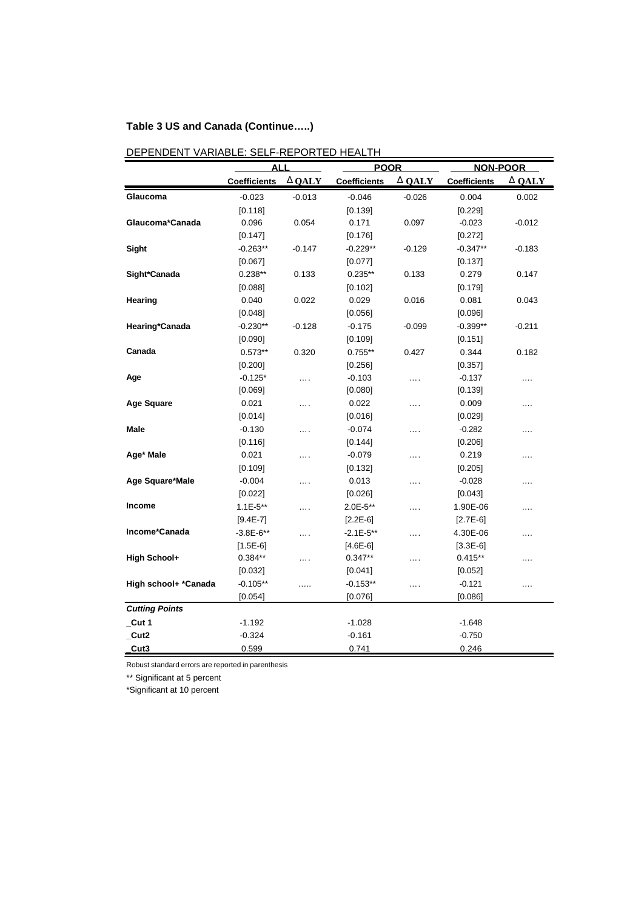# **Table 3 US and Canada (Continue…..)**

|                       | <b>ALL</b>          |              | <b>POOR</b>         |               | <b>NON-POOR</b>     |          |
|-----------------------|---------------------|--------------|---------------------|---------------|---------------------|----------|
|                       | <b>Coefficients</b> | <b>DQALY</b> | <b>Coefficients</b> | <b>D</b> QALY | <b>Coefficients</b> | D QALY   |
| Glaucoma              | $-0.023$            | $-0.013$     | $-0.046$            | $-0.026$      | 0.004               | 0.002    |
|                       | [0.118]             |              | [0.139]             |               | [0.229]             |          |
| Glaucoma*Canada       | 0.096               | 0.054        | 0.171               | 0.097         | $-0.023$            | $-0.012$ |
|                       | [0.147]             |              | [0.176]             |               | [0.272]             |          |
| Sight                 | $-0.263**$          | $-0.147$     | $-0.229**$          | $-0.129$      | $-0.347**$          | $-0.183$ |
|                       | [0.067]             |              | [0.077]             |               | [0.137]             |          |
| Sight*Canada          | $0.238**$           | 0.133        | $0.235***$          | 0.133         | 0.279               | 0.147    |
|                       | [0.088]             |              | [0.102]             |               | [0.179]             |          |
| <b>Hearing</b>        | 0.040               | 0.022        | 0.029               | 0.016         | 0.081               | 0.043    |
|                       | [0.048]             |              | [0.056]             |               | [0.096]             |          |
| Hearing*Canada        | $-0.230**$          | $-0.128$     | $-0.175$            | $-0.099$      | $-0.399**$          | $-0.211$ |
|                       | [0.090]             |              | [0.109]             |               | [0.151]             |          |
| Canada                | $0.573**$           | 0.320        | $0.755***$          | 0.427         | 0.344               | 0.182    |
|                       | [0.200]             |              | [0.256]             |               | [0.357]             |          |
| Age                   | $-0.125*$           | .            | $-0.103$            | .             | $-0.137$            | .        |
|                       | [0.069]             |              | [0.080]             |               | [0.139]             |          |
| Age Square            | 0.021               | .            | 0.022               | .             | 0.009               | .        |
|                       | [0.014]             |              | [0.016]             |               | [0.029]             |          |
| Male                  | $-0.130$            | .            | $-0.074$            | .             | $-0.282$            | $\cdots$ |
|                       | [0.116]             |              | [0.144]             |               | [0.206]             |          |
| Age* Male             | 0.021               | .            | $-0.079$            | .             | 0.219               | $\cdots$ |
|                       | [0.109]             |              | [0.132]             |               | [0.205]             |          |
| Age Square*Male       | $-0.004$            |              | 0.013               | .             | $-0.028$            | .        |
|                       | [0.022]             |              | [0.026]             |               | [0.043]             |          |
| <b>Income</b>         | $1.1E - 5**$        | .            | $2.0E - 5**$        | $\cdots$      | 1.90E-06            |          |
|                       | $[9.4E-7]$          |              | $[2.2E-6]$          |               | $[2.7E-6]$          |          |
| Income*Canada         | $-3.8E - 6**$       | .            | $-2.1E - 5**$       | .             | 4.30E-06            | $\cdots$ |
|                       | $[1.5E-6]$          |              | $[4.6E-6]$          |               | $[3.3E-6]$          |          |
| High School+          | $0.384**$           | .            | $0.347**$           | .             | $0.415**$           | $\cdots$ |
|                       | [0.032]             |              | [0.041]             |               | [0.052]             |          |
| High school+ *Canada  | $-0.105**$          | .            | $-0.153**$          | .             | $-0.121$            | $\cdots$ |
|                       | [0.054]             |              | [0.076]             |               | [0.086]             |          |
| <b>Cutting Points</b> |                     |              |                     |               |                     |          |
| $_{\text{-}$ Cut 1    | $-1.192$            |              | $-1.028$            |               | $-1.648$            |          |
| Cut2                  | $-0.324$            |              | $-0.161$            |               | $-0.750$            |          |
| Cut3                  | 0.599               |              | 0.741               |               | 0.246               |          |

# DEPENDENT VARIABLE: SELF-REPORTED HEALTH

Robust standard errors are reported in parenthesis

\*\* Significant at 5 percent

\*Significant at 10 percent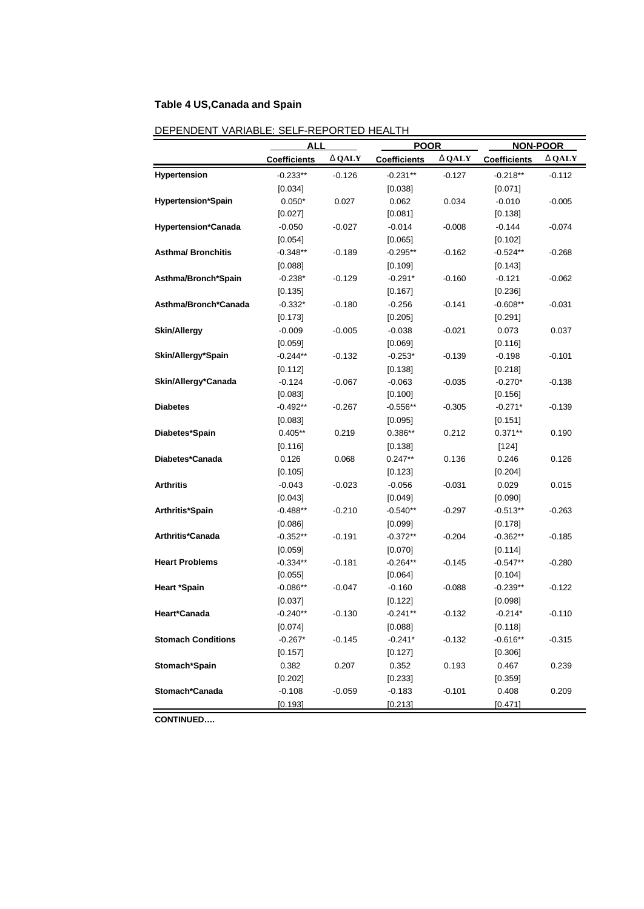# **Table 4 US,Canada and Spain**

|                            | <b>ALI</b>          | <b>POOR</b>   |                     | <b>NON-POOR</b> |                     |              |
|----------------------------|---------------------|---------------|---------------------|-----------------|---------------------|--------------|
|                            | <b>Coefficients</b> | <b>D</b> QALY | <b>Coefficients</b> | <b>D</b> QALY   | <b>Coefficients</b> | <b>DQALY</b> |
| Hypertension               | $-0.233**$          | $-0.126$      | $-0.231**$          | $-0.127$        | $-0.218**$          | -0.112       |
|                            | [0.034]             |               | [0.038]             |                 | [0.071]             |              |
| <b>Hypertension*Spain</b>  | $0.050*$            | 0.027         | 0.062               | 0.034           | $-0.010$            | $-0.005$     |
|                            | [0.027]             |               | [0.081]             |                 | [0.138]             |              |
| <b>Hypertension*Canada</b> | $-0.050$            | $-0.027$      | $-0.014$            | $-0.008$        | $-0.144$            | -0.074       |
|                            | [0.054]             |               | [0.065]             |                 | [0.102]             |              |
| <b>Asthma/ Bronchitis</b>  | $-0.348**$          | $-0.189$      | $-0.295**$          | $-0.162$        | $-0.524**$          | $-0.268$     |
|                            | [0.088]             |               | [0.109]             |                 | [0.143]             |              |
| Asthma/Bronch*Spain        | $-0.238*$           | $-0.129$      | $-0.291*$           | $-0.160$        | $-0.121$            | -0.062       |
|                            | [0.135]             |               | [0.167]             |                 | [0.236]             |              |
| Asthma/Bronch*Canada       | $-0.332*$           | $-0.180$      | $-0.256$            | $-0.141$        | $-0.608**$          | -0.031       |
|                            | [0.173]             |               | [0.205]             |                 | [0.291]             |              |
| <b>Skin/Allergy</b>        | $-0.009$            | $-0.005$      | $-0.038$            | $-0.021$        | 0.073               | 0.037        |
|                            | $[0.059]$           |               | [0.069]             |                 | [0.116]             |              |
| Skin/Allergy*Spain         | $-0.244**$          | $-0.132$      | $-0.253*$           | $-0.139$        | $-0.198$            | $-0.101$     |
|                            | [0.112]             |               | [0.138]             |                 | [0.218]             |              |
| Skin/Allergy*Canada        | $-0.124$            | $-0.067$      | $-0.063$            | $-0.035$        | $-0.270*$           | $-0.138$     |
|                            | [0.083]             |               | [0.100]             |                 | [0.156]             |              |
| <b>Diabetes</b>            | $-0.492**$          | $-0.267$      | $-0.556**$          | $-0.305$        | $-0.271*$           | $-0.139$     |
|                            | [0.083]             |               | [0.095]             |                 | [0.151]             |              |
| Diabetes*Spain             | $0.405**$           | 0.219         | $0.386**$           | 0.212           | $0.371**$           | 0.190        |
|                            | [0.116]             |               | [0.138]             |                 | $[124]$             |              |
| Diabetes*Canada            | 0.126               | 0.068         | $0.247**$           | 0.136           | 0.246               | 0.126        |
|                            | [0.105]             |               | [0.123]             |                 | [0.204]             |              |
| <b>Arthritis</b>           | $-0.043$            | $-0.023$      | $-0.056$            | $-0.031$        | 0.029               | 0.015        |
|                            | [0.043]             |               | [0.049]             |                 | [0.090]             |              |
| Arthritis*Spain            | $-0.488**$          | $-0.210$      | $-0.540**$          | $-0.297$        | $-0.513**$          | $-0.263$     |
|                            | [0.086]             |               | [0.099]             |                 | [0.178]             |              |
| Arthritis*Canada           | $-0.352**$          | $-0.191$      | $-0.372**$          | $-0.204$        | $-0.362**$          | $-0.185$     |
|                            | $[0.059]$           |               | [0.070]             |                 | [0.114]             |              |
| <b>Heart Problems</b>      | $-0.334**$          | $-0.181$      | $-0.264**$          | $-0.145$        | $-0.547**$          | $-0.280$     |
|                            | [0.055]             |               | $[0.064]$           |                 | [0.104]             |              |
| <b>Heart *Spain</b>        | $-0.086**$          | $-0.047$      | $-0.160$            | $-0.088$        | $-0.239**$          | $-0.122$     |
|                            | $[0.037]$           |               | [0.122]             |                 | [0.098]             |              |
| Heart*Canada               | $-0.240**$          | $-0.130$      | -0.241**            | $-0.132$        | $-0.214*$           | $-0.110$     |
|                            | [0.074]             |               | [0.088]             |                 | [0.118]             |              |
| <b>Stomach Conditions</b>  | $-0.267*$           | $-0.145$      | $-0.241*$           | $-0.132$        | $-0.616**$          | $-0.315$     |
|                            | [0.157]             |               | [0.127]             |                 | [0.306]             |              |
| Stomach*Spain              | 0.382               | 0.207         | 0.352               | 0.193           | 0.467               | 0.239        |
|                            | [0.202]             |               | [0.233]             |                 | [0.359]             |              |
| Stomach*Canada             | $-0.108$            | $-0.059$      | $-0.183$            | $-0.101$        | 0.408               | 0.209        |
|                            | [0.193]             |               | [0.213]             |                 | [0.471]             |              |

# DEPENDENT VARIABLE: SELF-REPORTED HEALTH

**CONTINUED….**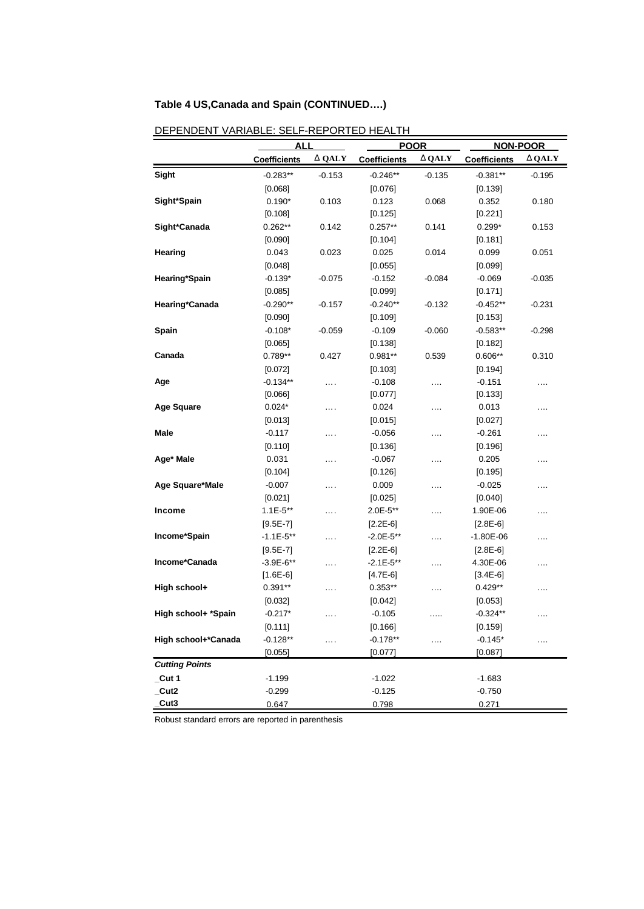# **Table 4 US,Canada and Spain (CONTINUED….)**

|                       | ALL                 |               | <b>POOR</b>         |              | <b>NON-POOR</b>     |               |
|-----------------------|---------------------|---------------|---------------------|--------------|---------------------|---------------|
|                       | <b>Coefficients</b> | <b>D</b> QALY | <b>Coefficients</b> | <b>DQALY</b> | <b>Coefficients</b> | <b>D</b> QALY |
| <b>Sight</b>          | $-0.283**$          | $-0.153$      | $-0.246**$          | $-0.135$     | $-0.381**$          | $-0.195$      |
|                       | [0.068]             |               | [0.076]             |              | [0.139]             |               |
| Sight*Spain           | $0.190*$            | 0.103         | 0.123               | 0.068        | 0.352               | 0.180         |
|                       | [0.108]             |               | [0.125]             |              | [0.221]             |               |
| Sight*Canada          | $0.262**$           | 0.142         | $0.257**$           | 0.141        | $0.299*$            | 0.153         |
|                       | [0.090]             |               | [0.104]             |              | [0.181]             |               |
| <b>Hearing</b>        | 0.043               | 0.023         | 0.025               | 0.014        | 0.099               | 0.051         |
|                       | [0.048]             |               | [0.055]             |              | [0.099]             |               |
| Hearing*Spain         | $-0.139*$           | $-0.075$      | $-0.152$            | $-0.084$     | $-0.069$            | $-0.035$      |
|                       | [0.085]             |               | [0.099]             |              | [0.171]             |               |
| Hearing*Canada        | $-0.290**$          | $-0.157$      | $-0.240**$          | $-0.132$     | $-0.452**$          | $-0.231$      |
|                       | [0.090]             |               | [0.109]             |              | [0.153]             |               |
| Spain                 | $-0.108*$           | $-0.059$      | $-0.109$            | $-0.060$     | $-0.583**$          | $-0.298$      |
|                       | [0.065]             |               | [0.138]             |              | [0.182]             |               |
| Canada                | 0.789**             | 0.427         | $0.981**$           | 0.539        | $0.606**$           | 0.310         |
|                       | [0.072]             |               | [0.103]             |              | [0.194]             |               |
| Age                   | $-0.134**$          | $\cdots$      | $-0.108$            | .            | $-0.151$            | $\cdots$      |
|                       | [0.066]             |               | [0.077]             |              | [0.133]             |               |
| <b>Age Square</b>     | $0.024*$            | .             | 0.024               | .            | 0.013               | $\cdots$      |
|                       | [0.013]             |               | [0.015]             |              | [0.027]             |               |
| Male                  | $-0.117$            | .             | $-0.056$            | .            | $-0.261$            | $\cdots$      |
|                       | [0.110]             |               | [0.136]             |              | [0.196]             |               |
| Age* Male             | 0.031               | .             | $-0.067$            | .            | 0.205               | $\cdots$      |
|                       | [0.104]             |               | [0.126]             |              | [0.195]             |               |
| Age Square*Male       | $-0.007$            | .             | 0.009               | .            | $-0.025$            | $\cdots$      |
|                       | [0.021]             |               | [0.025]             |              | [0.040]             |               |
| <b>Income</b>         | $1.1E-5**$          | .             | 2.0E-5**            | .            | 1.90E-06            | $\cdots$      |
|                       | $[9.5E-7]$          |               | $[2.2E-6]$          |              | $[2.8E-6]$          |               |
| Income*Spain          | $-1.1E - 5**$       | .             | $-2.0E - 5**$       | .            | $-1.80E - 06$       | $\cdots$      |
|                       | $[9.5E-7]$          |               | $[2.2E-6]$          |              | $[2.8E-6]$          |               |
| Income*Canada         | $-3.9E-6**$         | .             | $-2.1E-5**$         | .            | 4.30E-06            | $\cdots$      |
|                       | $[1.6E-6]$          |               | $[4.7E-6]$          |              | $[3.4E-6]$          |               |
| High school+          | $0.391**$           | .             | $0.353**$           | .            | $0.429**$           | .             |
|                       | $[0.032]$           |               | [0.042]             |              | [0.053]             |               |
| High school+ *Spain   | $-0.217*$           | .             | $-0.105$            | .            | $-0.324**$          | .             |
|                       | [0.111]             |               | [0.166]             |              | [0.159]             |               |
| High school+*Canada   | $-0.128**$          |               | $-0.178**$          |              | $-0.145*$           |               |
|                       | [0.055]             |               | [0.077]             |              | [0.087]             |               |
| <b>Cutting Points</b> |                     |               |                     |              |                     |               |
| $\_$ Cut 1            | $-1.199$            |               | $-1.022$            |              | $-1.683$            |               |
| _Cut2                 | $-0.299$            |               | $-0.125$            |              | $-0.750$            |               |
| Cut3                  | 0.647               |               | 0.798               |              | 0.271               |               |

DEPENDENT VARIABLE: SELF-REPORTED HEALTH

Robust standard errors are reported in parenthesis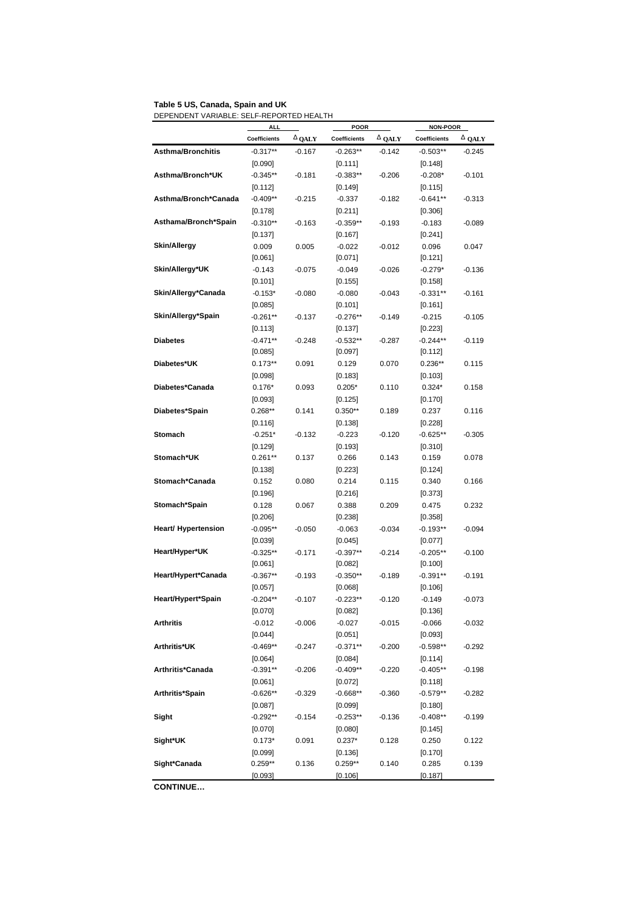#### **Table 5 US, Canada, Spain and UK** DEPENDENT VARIABLE: SELF-REPORTED HEALTH

|                            | <b>ALL</b>          |                   | <b>POOR</b>  |                   | NON-POOR            |          |
|----------------------------|---------------------|-------------------|--------------|-------------------|---------------------|----------|
|                            | <b>Coefficients</b> | $D_{\text{QALY}}$ | Coefficients | D <sub>QALY</sub> | <b>Coefficients</b> | D QALY   |
| <b>Asthma/Bronchitis</b>   | $-0.317**$          | $-0.167$          | $-0.263**$   | $-0.142$          | $-0.503**$          | $-0.245$ |
|                            | [0.090]             |                   | [0.111]      |                   | [0.148]             |          |
| Asthma/Bronch*UK           | $-0.345**$          | $-0.181$          | $-0.383**$   | $-0.206$          | $-0.208*$           | $-0.101$ |
|                            | [0.112]             |                   | $[0.149]$    |                   | [0.115]             |          |
| Asthma/Bronch*Canada       | $-0.409**$          | $-0.215$          | $-0.337$     | $-0.182$          | $-0.641**$          | $-0.313$ |
|                            | [0.178]             |                   | [0.211]      |                   | [0.306]             |          |
| Asthama/Bronch*Spain       | $-0.310**$          | $-0.163$          | $-0.359**$   | $-0.193$          | $-0.183$            | $-0.089$ |
|                            | [0.137]             |                   | [0.167]      |                   | [0.241]             |          |
| <b>Skin/Allergy</b>        | 0.009               | 0.005             | $-0.022$     | $-0.012$          | 0.096               | 0.047    |
|                            | [0.061]             |                   | $[0.071]$    |                   | [0.121]             |          |
| Skin/Allergy*UK            | $-0.143$            | $-0.075$          | $-0.049$     | $-0.026$          | $-0.279*$           | $-0.136$ |
|                            | [0.101]             |                   | $[0.155]$    |                   | [0.158]             |          |
| Skin/Allergy*Canada        | $-0.153*$           | $-0.080$          | $-0.080$     | $-0.043$          | $-0.331**$          | $-0.161$ |
|                            | [0.085]             |                   | [0.101]      |                   | [0.161]             |          |
| Skin/Allergy*Spain         | $-0.261**$          | $-0.137$          | $-0.276**$   | $-0.149$          | $-0.215$            | $-0.105$ |
|                            | [0.113]             |                   | [0.137]      |                   | [0.223]             |          |
| <b>Diabetes</b>            | $-0.471**$          | $-0.248$          | $-0.532**$   | $-0.287$          | $-0.244**$          | $-0.119$ |
|                            | [0.085]             |                   | [0.097]      |                   | [0.112]             |          |
| Diabetes*UK                | $0.173**$           | 0.091             | 0.129        | 0.070             | $0.236**$           | 0.115    |
|                            | [0.098]             |                   | [0.183]      |                   | [0.103]             |          |
| Diabetes*Canada            | $0.176*$            | 0.093             | $0.205*$     | 0.110             | $0.324*$            | 0.158    |
|                            | [0.093]             |                   | [0.125]      |                   | $[0.170]$           |          |
| Diabetes*Spain             | $0.268**$           | 0.141             | $0.350**$    | 0.189             | 0.237               | 0.116    |
|                            | [0.116]             |                   | [0.138]      |                   | [0.228]             |          |
| <b>Stomach</b>             | $-0.251*$           | $-0.132$          | $-0.223$     | $-0.120$          | $-0.625**$          | $-0.305$ |
|                            | [0.129]             |                   | $[0.193]$    |                   | [0.310]             |          |
| Stomach*UK                 | $0.261**$           | 0.137             | 0.266        | 0.143             | 0.159               | 0.078    |
|                            | [0.138]             |                   | $[0.223]$    |                   | [0.124]             |          |
| Stomach*Canada             | 0.152               | 0.080             | 0.214        | 0.115             | 0.340               | 0.166    |
|                            | [0.196]             |                   | $[0.216]$    |                   | $[0.373]$           |          |
| Stomach*Spain              | 0.128               | 0.067             | 0.388        | 0.209             | 0.475               | 0.232    |
|                            | [0.206]             |                   | $[0.238]$    |                   | $[0.358]$           |          |
| <b>Heart/ Hypertension</b> | $-0.095**$          | $-0.050$          | $-0.063$     | $-0.034$          | -0.193**            | $-0.094$ |
|                            | [0.039]             |                   | $[0.045]$    |                   | $[0.077]$           |          |
| Heart/Hyper*UK             | $-0.325**$          | $-0.171$          | $-0.397**$   | $-0.214$          | $-0.205**$          | $-0.100$ |
|                            | [0.061]             |                   | [0.082]      |                   | [0.100]             |          |
| Heart/Hypert*Canada        | $-0.367**$          | $-0.193$          | $-0.350**$   | $-0.189$          | -0.391**            | $-0.191$ |
|                            | [0.057]             |                   | [0.068]      |                   | [0.106]             |          |
| <b>Heart/Hypert*Spain</b>  | $-0.204**$          | $-0.107$          | $-0.223**$   | $-0.120$          | $-0.149$            | $-0.073$ |
|                            | [0.070]             |                   | [0.082]      |                   | [0.136]             |          |
| <b>Arthritis</b>           | $-0.012$            | $-0.006$          | $-0.027$     | $-0.015$          | $-0.066$            | $-0.032$ |
|                            | $[0.044]$           |                   | [0.051]      |                   | [0.093]             |          |
| Arthritis*UK               | $-0.469**$          | $-0.247$          | $-0.371**$   | $-0.200$          | $-0.598**$          | $-0.292$ |
|                            | $[0.064]$           |                   | [0.084]      |                   | $[0.114]$           |          |
| Arthritis*Canada           | $-0.391**$          | $-0.206$          | $-0.409**$   | $-0.220$          | -0.405**            | $-0.198$ |
|                            | [0.061]             |                   | [0.072]      |                   | [0.118]             |          |
| Arthritis*Spain            | $-0.626**$          | $-0.329$          | $-0.668**$   | $-0.360$          | $-0.579**$          | $-0.282$ |
|                            | [0.087]             |                   | [0.099]      |                   | [0.180]             |          |
| Sight                      | $-0.292**$          | -0.154            | $-0.253**$   | $-0.136$          | -0.408**            | $-0.199$ |
|                            | $[0.070]$           |                   | [0.080]      |                   | [0.145]             |          |
| Sight*UK                   | $0.173*$            | 0.091             | $0.237*$     | 0.128             | 0.250               | 0.122    |
|                            | [0.099]             |                   | [0.136]      |                   | [0.170]             |          |
| Sight*Canada               | $0.259**$           | 0.136             | $0.259**$    | 0.140             | 0.285               | 0.139    |
|                            | [0.093]             |                   | [0.106]      |                   | [0.187]             |          |

**CONTINUE…**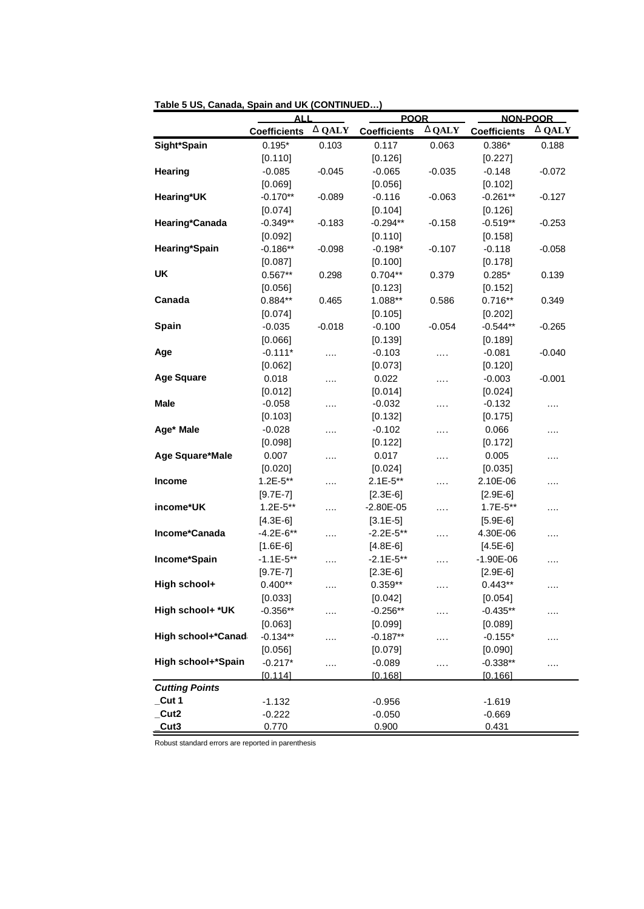|                       | ALL                 |               | <b>POOR</b>         |               | <b>NON-POOR</b>     |               |
|-----------------------|---------------------|---------------|---------------------|---------------|---------------------|---------------|
|                       | <b>Coefficients</b> | <b>D</b> QALY | <b>Coefficients</b> | <b>D</b> QALY | <b>Coefficients</b> | <b>D</b> QALY |
| Sight*Spain           | $0.195*$            | 0.103         | 0.117               | 0.063         | $0.386*$            | 0.188         |
|                       | [0.110]             |               | [0.126]             |               | [0.227]             |               |
| <b>Hearing</b>        | $-0.085$            | -0.045        | $-0.065$            | -0.035        | $-0.148$            | $-0.072$      |
|                       | [0.069]             |               | [0.056]             |               | [0.102]             |               |
| Hearing*UK            | $-0.170**$          | -0.089        | $-0.116$            | -0.063        | $-0.261**$          | -0.127        |
|                       | [0.074]             |               | [0.104]             |               | [0.126]             |               |
| Hearing*Canada        | $-0.349**$          | -0.183        | $-0.294**$          | $-0.158$      | $-0.519**$          | $-0.253$      |
|                       | [0.092]             |               | [0.110]             |               | [0.158]             |               |
| Hearing*Spain         | $-0.186**$          | $-0.098$      | $-0.198*$           | $-0.107$      | $-0.118$            | $-0.058$      |
|                       | [0.087]             |               | [0.100]             |               | [0.178]             |               |
| <b>UK</b>             | $0.567**$           | 0.298         | $0.704**$           | 0.379         | $0.285*$            | 0.139         |
|                       | [0.056]             |               | [0.123]             |               | [0.152]             |               |
| Canada                | $0.884**$           | 0.465         | 1.088**             | 0.586         | $0.716**$           | 0.349         |
|                       | [0.074]             |               | [0.105]             |               | [0.202]             |               |
| Spain                 | $-0.035$            | $-0.018$      | $-0.100$            | $-0.054$      | $-0.544**$          | $-0.265$      |
|                       | [0.066]             |               | [0.139]             |               | [0.189]             |               |
| Age                   | $-0.111*$           | .             | $-0.103$            | .             | $-0.081$            | $-0.040$      |
|                       | [0.062]             |               | [0.073]             |               | [0.120]             |               |
| <b>Age Square</b>     | 0.018               | .             | 0.022               | .             | $-0.003$            | $-0.001$      |
|                       | [0.012]             |               | [0.014]             |               | [0.024]             |               |
| Male                  | $-0.058$            | .             | $-0.032$            | .             | $-0.132$            | .             |
|                       | [0.103]             |               | [0.132]             |               | [0.175]             |               |
| Age* Male             | $-0.028$            | .             | $-0.102$            | .             | 0.066               | .             |
|                       | [0.098]             |               | [0.122]             |               | [0.172]             |               |
| Age Square*Male       | 0.007               | .             | 0.017               | .             | 0.005               | .             |
|                       | [0.020]             |               | [0.024]             |               | [0.035]             |               |
| <b>Income</b>         | $1.2E - 5**$        | .             | $2.1E-5**$          | .             | 2.10E-06            | .             |
|                       | $[9.7E-7]$          |               | $[2.3E-6]$          |               | $[2.9E-6]$          |               |
| income*UK             | $1.2E - 5**$        | .             | $-2.80E-05$         | .             | $1.7E-5**$          | .             |
|                       | $[4.3E-6]$          |               | $[3.1E-5]$          |               | $[5.9E-6]$          |               |
| Income*Canada         | $-4.2E-6**$         | .             | $-2.2E - 5**$       | .             | 4.30E-06            | .             |
|                       | $[1.6E-6]$          |               | $[4.8E-6]$          |               | $[4.5E-6]$          |               |
| Income*Spain          | $-1.1E-5**$         | .             | $-2.1E-5**$         | .             | $-1.90E-06$         | .             |
|                       | $[9.7E-7]$          |               | $[2.3E-6]$          |               | $[2.9E-6]$          |               |
| High school+          | $0.400**$           | $\cdots$      | $0.359**$           | .             | $0.443**$           | .             |
|                       | [0.033]             |               | [0.042]             |               | [0.054]             |               |
| High school+ *UK      | $-0.356**$          |               | $-0.256**$          |               | $-0.435**$          |               |
|                       | [0.063]             |               | [0.099]             |               | [0.089]             |               |
| High school+*Canad    | $-0.134**$          | .             | $-0.187**$          |               | $-0.155*$           | .             |
|                       | [0.056]             |               | [0.079]             |               | [0.090]             |               |
| High school+*Spain    | $-0.217*$           | $\cdots$      | $-0.089$            | .             | $-0.338**$          | .             |
|                       | [0.114]             |               | [0.168]             |               | [0.166]             |               |
| <b>Cutting Points</b> |                     |               |                     |               |                     |               |
| _Cut 1                | $-1.132$            |               | $-0.956$            |               | $-1.619$            |               |
| Cut <sub>2</sub>      | $-0.222$            |               | $-0.050$            |               | $-0.669$            |               |
| Cut3                  | 0.770               |               | 0.900               |               | 0.431               |               |

**Table 5 US, Canada, Spain and UK (CONTINUED…)**

Robust standard errors are reported in parenthesis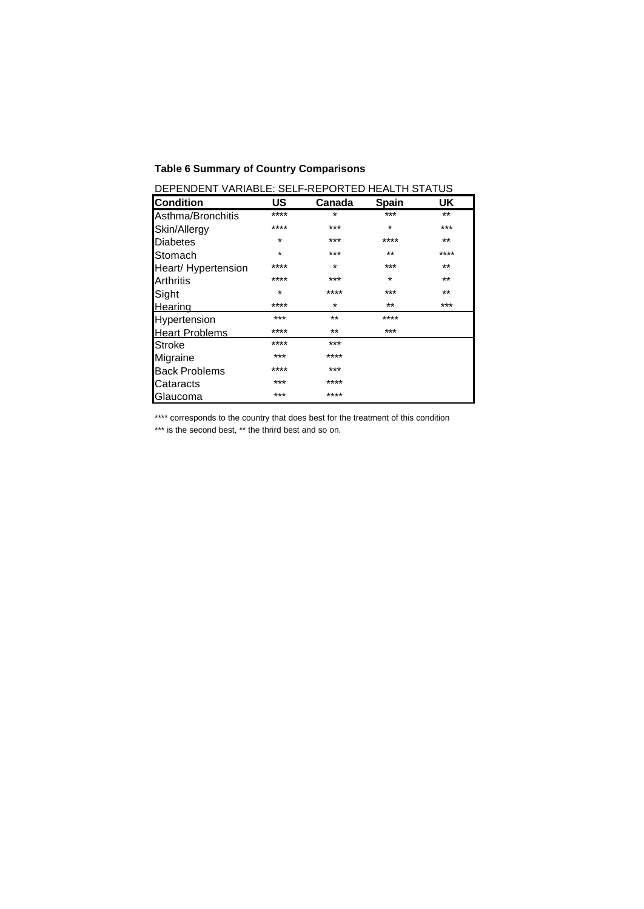# **Table 6 Summary of Country Comparisons**

| DEPENDENT VARIABLE: SELF-REPORTED HEALTH STATUS |         |          |              |       |  |  |  |
|-------------------------------------------------|---------|----------|--------------|-------|--|--|--|
| <b>Condition</b>                                | US      | Canada   | <b>Spain</b> | UK.   |  |  |  |
| Asthma/Bronchitis                               | ****    | *        | ***          | $***$ |  |  |  |
| Skin/Allergy                                    | ****    | ***      | $\star$      | ***   |  |  |  |
| <b>Diabetes</b>                                 | $\star$ | $***$    | ****         | $***$ |  |  |  |
| Stomach                                         | $\star$ | ***      | $***$        | ****  |  |  |  |
| Heart/ Hypertension                             | ****    | $\star$  | $***$        | $***$ |  |  |  |
| <b>Arthritis</b>                                | ****    | $***$    | $\star$      | $***$ |  |  |  |
| Sight                                           | $\star$ | ****     | ***          | $***$ |  |  |  |
| Hearing                                         | ****    | $^\star$ | $***$        | ***   |  |  |  |
| Hypertension                                    | ***     | $***$    | ****         |       |  |  |  |
| <b>Heart Problems</b>                           | ****    | $***$    | ***          |       |  |  |  |
| lStroke                                         | ****    | $***$    |              |       |  |  |  |
| Migraine                                        | ***     | ****     |              |       |  |  |  |
| <b>Back Problems</b>                            | ****    | ***      |              |       |  |  |  |
| Cataracts                                       | ***     | ****     |              |       |  |  |  |
| Glaucoma                                        | ***     | ****     |              |       |  |  |  |

DEPENDENT VARIABLE: SELF-REPORTED HEALTH STATUS

\*\*\*\* corresponds to the country that does best for the treatment of this condition

\*\*\* is the second best, \*\* the thrird best and so on.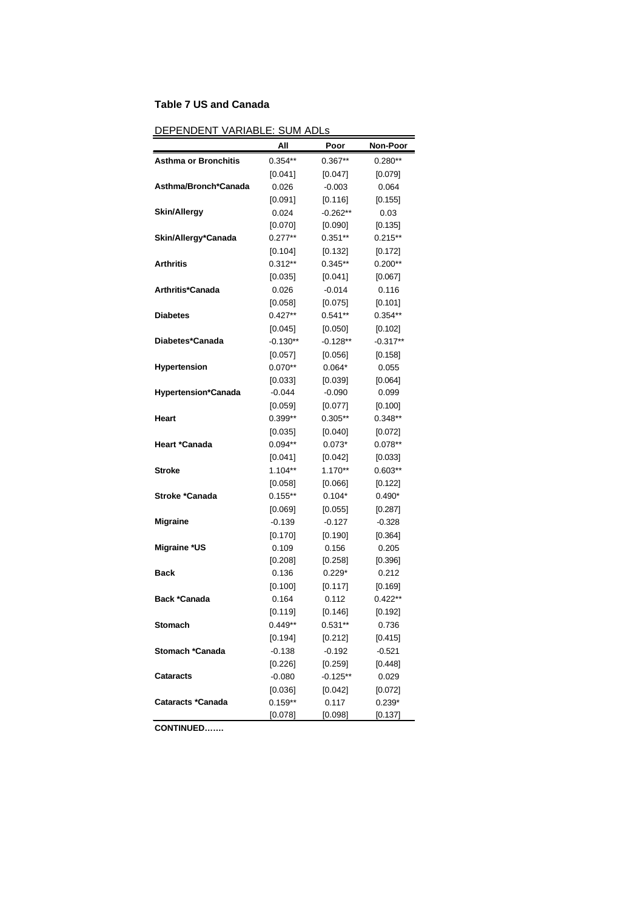# **Table 7 US and Canada**

| DEPENDENT VARIABLE: SUM ADLs |  |
|------------------------------|--|
|------------------------------|--|

| <u>-IVLLIVI</u><br><b>VAINADI</b> | ושה ויוטט          |            |            |
|-----------------------------------|--------------------|------------|------------|
|                                   | All                | Poor       | Non-Poor   |
| <b>Asthma or Bronchitis</b>       | $0.354**$          | $0.367**$  | $0.280**$  |
|                                   | [0.041]            | [0.047]    | [0.079]    |
| Asthma/Bronch*Canada              | 0.026              | $-0.003$   | 0.064      |
|                                   | [0.091]            | [0.116]    | [0.155]    |
| <b>Skin/Allergy</b>               | 0.024              | $-0.262**$ | 0.03       |
|                                   | $[0.070]$          | [0.090]    | [0.135]    |
| Skin/Allergy*Canada               | $0.277**$          | $0.351**$  | $0.215**$  |
|                                   | [0.104]            | $[0.132]$  | $[0.172]$  |
| Arthritis                         | $0.312**$          | $0.345**$  | $0.200**$  |
|                                   | [0.035]            | [0.041]    | [0.067]    |
| Arthritis*Canada                  | 0.026              | $-0.014$   | 0.116      |
|                                   | [0.058]            | $[0.075]$  | [0.101]    |
| Diabetes                          | $0.427**$          | $0.541**$  | $0.354**$  |
|                                   | [0.045]            | [0.050]    | [0.102]    |
| Diabetes*Canada                   | $-0.130**$         | $-0.128**$ | $-0.317**$ |
|                                   | $[0.057]$          | [0.056]    | [0.158]    |
| <b>Hypertension</b>               | $0.070**$          | $0.064*$   | 0.055      |
|                                   | [0.033]            | [0.039]    | [0.064]    |
| <b>Hypertension*Canada</b>        | $-0.044$           | $-0.090$   | 0.099      |
|                                   | [0.059]            | [0.077]    | [0.100]    |
| Heart                             | $0.399**$          | $0.305**$  | $0.348**$  |
|                                   | [0.035]            | [0.040]    | [0.072]    |
| Heart *Canada                     | $0.094**$          | $0.073*$   | $0.078**$  |
|                                   |                    | [0.042]    | [0.033]    |
|                                   | [0.041]<br>1.104** | 1.170**    | $0.603**$  |
| <b>Stroke</b>                     |                    |            |            |
|                                   | [0.058]            | [0.066]    | [0.122]    |
| Stroke *Canada                    | $0.155**$          | $0.104*$   | $0.490*$   |
|                                   | [0.069]            | [0.055]    | [0.287]    |
| <b>Migraine</b>                   | $-0.139$           | $-0.127$   | $-0.328$   |
|                                   | [0.170]            | [0.190]    | [0.364]    |
| <b>Migraine *US</b>               | 0.109              | 0.156      | 0.205      |
|                                   | [0.208]            | [0.258]    | [0.396]    |
| Back                              | 0.136              | $0.229*$   | 0.212      |
|                                   | [0.100]            | [0.117]    | [0.169]    |
| <b>Back *Canada</b>               | 0.164              | 0.112      | $0.422**$  |
|                                   | [0.119]            | [0.146]    | [0.192]    |
| Stomach                           | 0.449**            | 0.531**    | 0.736      |
|                                   | [0.194]            | [0.212]    | [0.415]    |
| Stomach *Canada                   | $-0.138$           | $-0.192$   | $-0.521$   |
|                                   | [0.226]            | [0.259]    | [0.448]    |
| <b>Cataracts</b>                  | $-0.080$           | $-0.125**$ | 0.029      |
|                                   | [0.036]            | $[0.042]$  | [0.072]    |
| <b>Cataracts *Canada</b>          | $0.159**$          | 0.117      | $0.239*$   |
|                                   | [0.078]            | [0.098]    | [0.137]    |

**CONTINUED…….**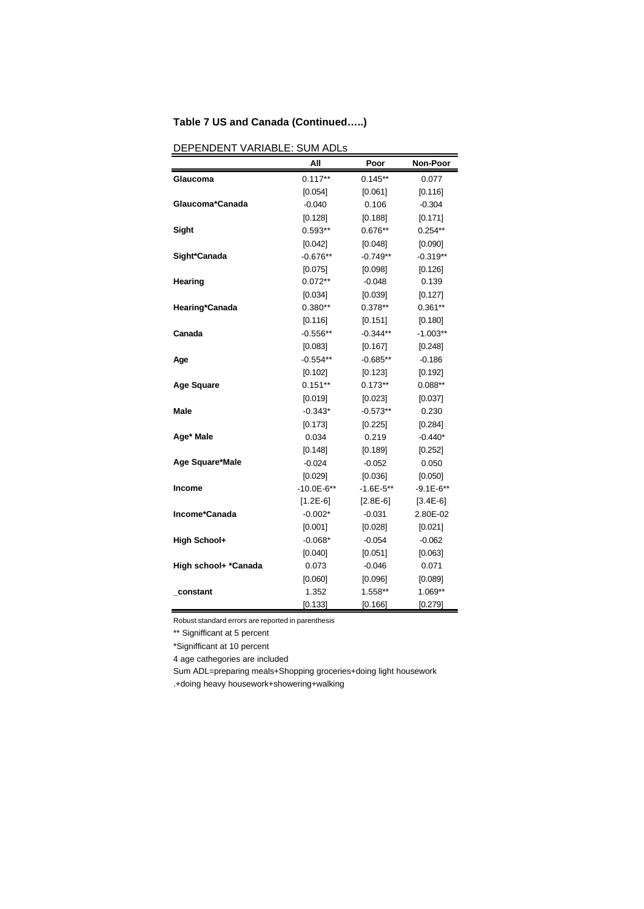# **Table 7 US and Canada (Continued…..)**

|                      | All          | Poor          | Non-Poor    |
|----------------------|--------------|---------------|-------------|
| Glaucoma             | $0.117**$    | $0.145**$     | 0.077       |
|                      | [0.054]      | [0.061]       | [0.116]     |
| Glaucoma*Canada      | $-0.040$     | 0.106         | $-0.304$    |
|                      | [0.128]      | [0.188]       | [0.171]     |
| Sight                | $0.593**$    | 0.676**       | $0.254**$   |
|                      | [0.042]      | [0.048]       | [0.090]     |
| Sight*Canada         | $-0.676**$   | $-0.749**$    | $-0.319**$  |
|                      | [0.075]      | [0.098]       | [0.126]     |
| Hearing              | $0.072**$    | $-0.048$      | 0.139       |
|                      | [0.034]      | [0.039]       | [0.127]     |
| Hearing*Canada       | $0.380**$    | $0.378**$     | $0.361**$   |
|                      | [0.116]      | [0.151]       | [0.180]     |
| Canada               | $-0.556**$   | $-0.344**$    | $-1.003**$  |
|                      | [0.083]      | [0.167]       | [0.248]     |
| Age                  | $-0.554**$   | $-0.685**$    | $-0.186$    |
|                      | [0.102]      | [0.123]       | [0.192]     |
| <b>Age Square</b>    | $0.151**$    | $0.173**$     | $0.088**$   |
|                      | [0.019]      | [0.023]       | [0.037]     |
| Male                 | $-0.343*$    | $-0.573**$    | 0.230       |
|                      | [0.173]      | [0.225]       | [0.284]     |
| Age* Male            | 0.034        | 0.219         | $-0.440*$   |
|                      | [0.148]      | [0.189]       | [0.252]     |
| Age Square*Male      | $-0.024$     | $-0.052$      | 0.050       |
|                      | [0.029]      | [0.036]       | [0.050]     |
| <b>Income</b>        | $-10.0E-6**$ | $-1.6E - 5**$ | $-9.1E-6**$ |
|                      | $[1.2E-6]$   | $[2.8E-6]$    | $[3.4E-6]$  |
| Income*Canada        | $-0.002*$    | $-0.031$      | 2.80E-02    |
|                      | [0.001]      | [0.028]       | [0.021]     |
| <b>High School+</b>  | $-0.068*$    | $-0.054$      | $-0.062$    |
|                      | [0.040]      | [0.051]       | [0.063]     |
| High school+ *Canada | 0.073        | $-0.046$      | 0.071       |
|                      | [0.060]      | [0.096]       | [0.089]     |
| _constant            | 1.352        | 1.558**       | 1.069**     |
|                      | [0.133]      | [0.166]       | [0.279]     |

# DEPENDENT VARIABLE: SUM ADLs

Robust standard errors are reported in parenthesis

\*\* Signifficant at 5 percent

\*Signifficant at 10 percent

4 age cathegories are included

Sum ADL=preparing meals+Shopping groceries+doing light housework

.+doing heavy housework+showering+walking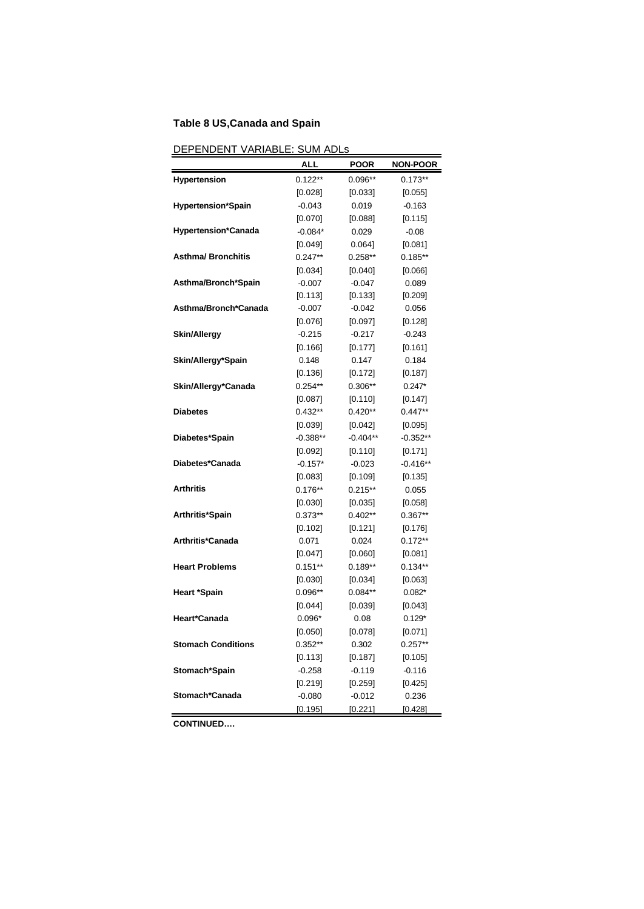# **Table 8 US,Canada and Spain**

# DEPENDENT VARIABLE: SUM ADLs

|                            | ALL        | <b>POOR</b> | <b>NON-POOR</b> |
|----------------------------|------------|-------------|-----------------|
| <b>Hypertension</b>        | $0.122**$  | 0.096**     | $0.173**$       |
|                            | [0.028]    | [0.033]     | [0.055]         |
| <b>Hypertension*Spain</b>  | $-0.043$   | 0.019       | $-0.163$        |
|                            | [0.070]    | [0.088]     | [0.115]         |
| <b>Hypertension*Canada</b> | $-0.084*$  | 0.029       | $-0.08$         |
|                            | [0.049]    | 0.064]      | [0.081]         |
| <b>Asthma/ Bronchitis</b>  | $0.247**$  | $0.258**$   | $0.185**$       |
|                            | [0.034]    | [0.040]     | [0.066]         |
| Asthma/Bronch*Spain        | $-0.007$   | $-0.047$    | 0.089           |
|                            | [0.113]    | [0.133]     | [0.209]         |
| Asthma/Bronch*Canada       | $-0.007$   | $-0.042$    | 0.056           |
|                            | [0.076]    | [0.097]     | [0.128]         |
| <b>Skin/Allergy</b>        | $-0.215$   | $-0.217$    | $-0.243$        |
|                            | [0.166]    | [0.177]     | [0.161]         |
| Skin/Allergy*Spain         | 0.148      | 0.147       | 0.184           |
|                            | [0.136]    | [0.172]     | [0.187]         |
| Skin/Allergy*Canada        | $0.254**$  | 0.306**     | $0.247*$        |
|                            | [0.087]    | [0.110]     | [0.147]         |
| <b>Diabetes</b>            | $0.432**$  | $0.420**$   | $0.447**$       |
|                            | [0.039]    | [0.042]     | [0.095]         |
| Diabetes*Spain             | $-0.388**$ | $-0.404**$  | $-0.352**$      |
|                            | [0.092]    | [0.110]     | [0.171]         |
| Diabetes*Canada            | $-0.157*$  | $-0.023$    | $-0.416**$      |
|                            | [0.083]    | [0.109]     | [0.135]         |
| <b>Arthritis</b>           | $0.176**$  | $0.215**$   | 0.055           |
|                            | [0.030]    | [0.035]     | [0.058]         |
| Arthritis*Spain            | $0.373**$  | $0.402**$   | $0.367**$       |
|                            | [0.102]    | [0.121]     | [0.176]         |
| Arthritis*Canada           | 0.071      | 0.024       | $0.172**$       |
|                            | [0.047]    | [0.060]     | [0.081]         |
| <b>Heart Problems</b>      | $0.151***$ | $0.189**$   | $0.134**$       |
|                            | [0.030]    | [0.034]     | [0.063]         |
| <b>Heart *Spain</b>        | $0.096**$  | $0.084**$   | $0.082*$        |
|                            | $[0.044]$  | [0.039]     | [0.043]         |
| Heart*Canada               | $0.096*$   | 0.08        | $0.129*$        |
|                            | $[0.050]$  | [0.078]     | $[0.071]$       |
| <b>Stomach Conditions</b>  | $0.352**$  | 0.302       | $0.257**$       |
|                            | [0.113]    | [0.187]     | [0.105]         |
| Stomach*Spain              | $-0.258$   | $-0.119$    | $-0.116$        |
|                            | [0.219]    | [0.259]     | [0.425]         |
| Stomach*Canada             | $-0.080$   | $-0.012$    | 0.236           |
|                            | [0.195]    | [0.221]     | [0.428]         |

**CONTINUED….**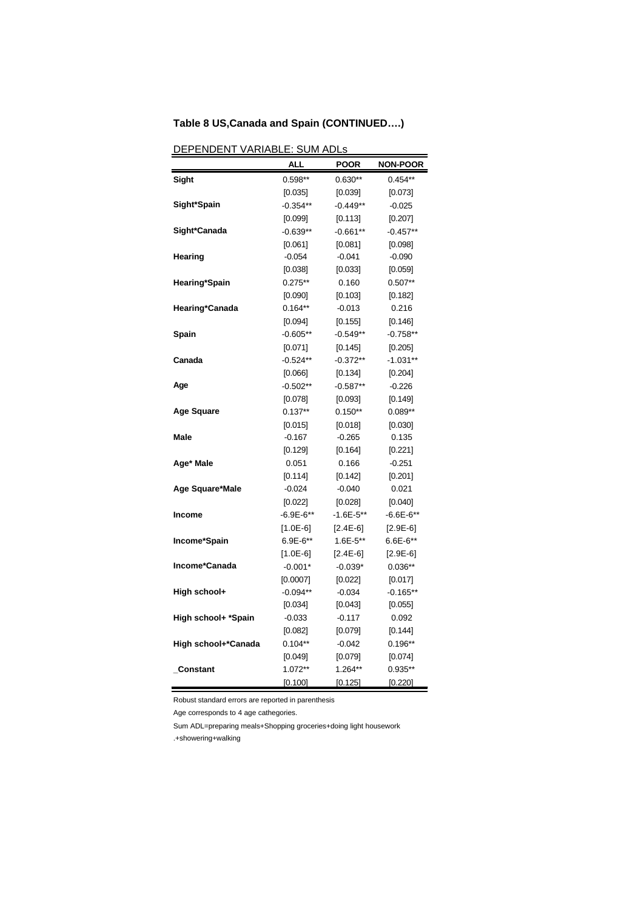# **Table 8 US,Canada and Spain (CONTINUED….)**

| <u>UEFENUEN I</u><br><u>VANIADL</u> | <u>. JUNI ADLS</u><br>ALL | POOR         | <b>NON-POOR</b> |
|-------------------------------------|---------------------------|--------------|-----------------|
| Sight                               | $0.598**$                 | $0.630**$    | $0.454**$       |
|                                     | [0.035]                   | [0.039]      | $[0.073]$       |
| Sight*Spain                         | $-0.354**$                | $-0.449**$   | $-0.025$        |
|                                     | [0.099]                   | [0.113]      | [0.207]         |
| Sight*Canada                        | $-0.639**$                | $-0.661**$   | $-0.457**$      |
|                                     | [0.061]                   | [0.081]      | [0.098]         |
| Hearing                             | $-0.054$                  | $-0.041$     | $-0.090$        |
|                                     | [0.038]                   | [0.033]      | [0.059]         |
| Hearing*Spain                       | $0.275**$                 | 0.160        | $0.507**$       |
|                                     | [0.090]                   | [0.103]      | [0.182]         |
| Hearing*Canada                      | $0.164**$                 | $-0.013$     | 0.216           |
|                                     | [0.094]                   | [0.155]      | [0.146]         |
| Spain                               | $-0.605**$                | $-0.549**$   | $-0.758**$      |
|                                     | [0.071]                   | [0.145]      | [0.205]         |
| Canada                              | $-0.524**$                | $-0.372**$   | $-1.031**$      |
|                                     | [0.066]                   | [0.134]      | [0.204]         |
| Age                                 | $-0.502**$                | $-0.587**$   | $-0.226$        |
|                                     | [0.078]                   | [0.093]      | [0.149]         |
| <b>Age Square</b>                   | $0.137**$                 | $0.150**$    | $0.089**$       |
|                                     | [0.015]                   | [0.018]      | [0.030]         |
| Male                                | $-0.167$                  | $-0.265$     | 0.135           |
|                                     | [0.129]                   | [0.164]      | [0.221]         |
| Age* Male                           | 0.051                     | 0.166        | $-0.251$        |
|                                     | [0.114]                   | [0.142]      | [0.201]         |
| Age Square*Male                     | $-0.024$                  | $-0.040$     | 0.021           |
|                                     | [0.022]                   | [0.028]      | [0.040]         |
| Income                              | $-6.9E - 6**$             | -1.6E-5**    | $-6.6E-6**$     |
|                                     | $[1.0E-6]$                | $[2.4E-6]$   | $[2.9E-6]$      |
| Income*Spain                        | 6.9E-6**                  | $1.6E - 5**$ | $6.6E - 6**$    |
|                                     | $[1.0E-6]$                | $[2.4E-6]$   | $[2.9E-6]$      |
| Income*Canada                       | $-0.001*$                 | $-0.039*$    | $0.036**$       |
|                                     | [0.0007]                  | [0.022]      | [0.017]         |
| High school+                        | $-0.094**$                | $-0.034$     | $-0.165**$      |
|                                     | [0.034]                   | [0.043]      | [0.055]         |
| High school+ *Spain                 | $-0.033$                  | $-0.117$     | 0.092           |
|                                     | [0.082]                   | $[0.079]$    | [0.144]         |
| High school+*Canada                 | $0.104**$                 | $-0.042$     | $0.196**$       |
|                                     | [0.049]                   | [0.079]      | [0.074]         |
| _Constant                           | 1.072**                   | 1.264**      | 0.935**         |
|                                     | [0.100]                   | [0.125]      | [0.220]         |

DEPENDENT VARIABLE: SUM ADLs

Robust standard errors are reported in parenthesis

Age corresponds to 4 age cathegories.

Sum ADL=preparing meals+Shopping groceries+doing light housework

.+showering+walking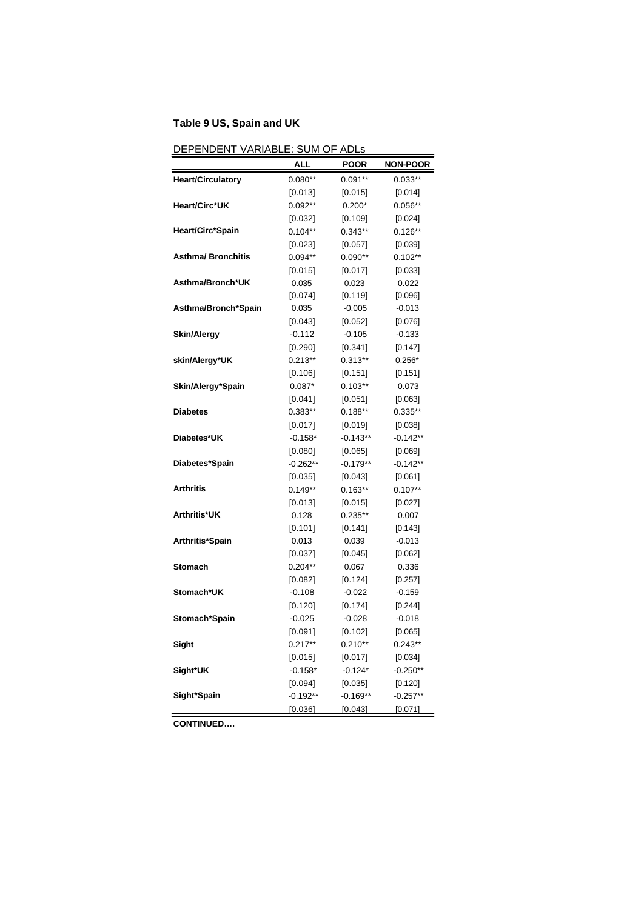# **Table 9 US, Spain and UK**

| DEPENDENT VARIABLE: SUM OF ADLs |                        |                  |                  |  |
|---------------------------------|------------------------|------------------|------------------|--|
|                                 | ALL                    | <b>POOR</b>      | <b>NON-POOR</b>  |  |
| <b>Heart/Circulatory</b>        | $0.080**$              | $0.091**$        | $0.033**$        |  |
|                                 | [0.013]                | [0.015]          | [0.014]          |  |
| Heart/Circ*UK                   | $0.092**$              | $0.200*$         | $0.056**$        |  |
|                                 | $[0.032]$              | [0.109]          | $[0.024]$        |  |
| Heart/Circ*Spain                | $0.104**$              | $0.343**$        | $0.126**$        |  |
|                                 | $[0.023]$              | [0.057]          | [0.039]          |  |
| <b>Asthma/ Bronchitis</b>       | $0.094**$              | $0.090**$        | $0.102**$        |  |
|                                 | [0.015]                | [0.017]          | [0.033]          |  |
| Asthma/Bronch*UK                | 0.035                  | 0.023            | 0.022            |  |
|                                 | [0.074]                | [0.119]          | [0.096]          |  |
| Asthma/Bronch*Spain             | 0.035                  | $-0.005$         | $-0.013$         |  |
|                                 | [0.043]                | $[0.052]$        | [0.076]          |  |
| <b>Skin/Alergy</b>              | -0.112                 | $-0.105$         | $-0.133$         |  |
|                                 | [0.290]                | [0.341]          | [0.147]          |  |
| skin/Alergy*UK                  | $0.213**$              | $0.313**$        | $0.256*$         |  |
|                                 | [0.106]                | [0.151]          | [0.151]          |  |
| Skin/Alergy*Spain               | $0.087*$               | $0.103**$        | 0.073            |  |
|                                 | [0.041]                | [0.051]          | [0.063]          |  |
| <b>Diabetes</b>                 | $0.383**$              | $0.188**$        | $0.335**$        |  |
|                                 | $[0.017]$              | [0.019]          | [0.038]          |  |
| Diabetes*UK                     | $-0.158*$              | $-0.143**$       | $-0.142**$       |  |
|                                 | [0.080]                | [0.065]          | [0.069]          |  |
| Diabetes*Spain                  | $-0.262**$             | $-0.179**$       | $-0.142**$       |  |
|                                 | $[0.035]$              | [0.043]          | [0.061]          |  |
| Arthritis                       | $0.149**$              | $0.163**$        | $0.107**$        |  |
|                                 | [0.013]                | [0.015]          | [0.027]          |  |
| Arthritis*UK                    | 0.128                  | $0.235**$        | 0.007            |  |
|                                 | [0.101]                | [0.141]          | [0.143]          |  |
| Arthritis*Spain                 | 0.013                  | 0.039            | $-0.013$         |  |
| <b>Stomach</b>                  | $[0.037]$<br>$0.204**$ | [0.045]<br>0.067 | [0.062]<br>0.336 |  |
|                                 |                        | [0.124]          | [0.257]          |  |
| Stomach*UK                      | [0.082]<br>$-0.108$    | $-0.022$         | $-0.159$         |  |
|                                 | [0.120]                | [0.174]          | [0.244]          |  |
| Stomach*Spain                   | $-0.025$               | $-0.028$         | $-0.018$         |  |
|                                 | [0.091]                | [0.102]          | [0.065]          |  |
| Sight                           | $0.217**$              | $0.210**$        | $0.243**$        |  |
|                                 | [0.015]                | [0.017]          | [0.034]          |  |
| Sight*UK                        | $-0.158*$              | $-0.124*$        | $-0.250**$       |  |
|                                 | [0.094]                | [0.035]          | [0.120]          |  |
| Sight*Spain                     | $-0.192**$             | $-0.169**$       | $-0.257**$       |  |
|                                 | [0.036]                | [0.043]          | [0.071]          |  |
|                                 |                        |                  |                  |  |

**CONTINUED….**